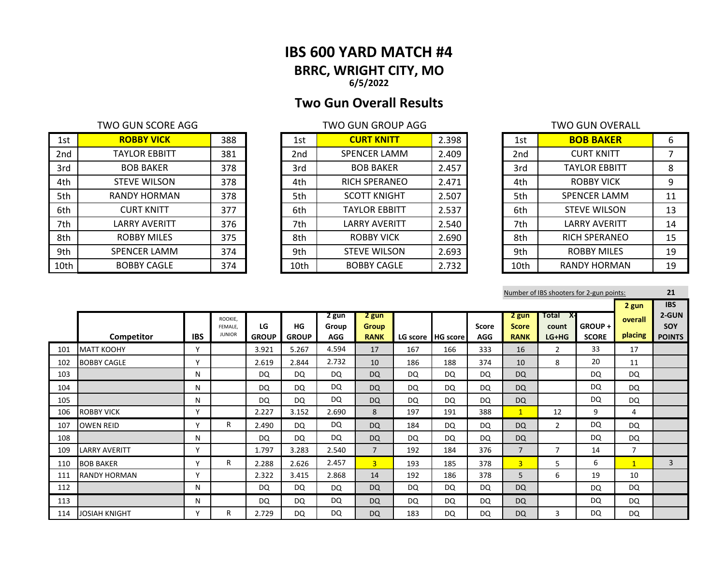# **IBS 600 YARD MATCH #4 BRRC, WRIGHT CITY, MO 6/5/2022**

# **Two Gun Overall Results**

| 1st             | <b>ROBBY VICK</b>    | 388 | 1st  | <b>CURT KNITT</b>    | 2.398 | 1st             | <b>BOB BAKER</b>     | 6  |
|-----------------|----------------------|-----|------|----------------------|-------|-----------------|----------------------|----|
| 2 <sub>nd</sub> | <b>TAYLOR EBBITT</b> | 381 | 2nd  | SPENCER LAMM         | 2.409 | 2 <sub>nd</sub> | <b>CURT KNITT</b>    |    |
| 3rd             | <b>BOB BAKER</b>     | 378 | 3rd  | <b>BOB BAKER</b>     | 2.457 | 3rd             | <b>TAYLOR EBBITT</b> | 8  |
| 4th             | <b>STEVE WILSON</b>  | 378 | 4th  | <b>RICH SPERANEO</b> | 2.471 | 4th             | <b>ROBBY VICK</b>    | 9  |
| 5th             | <b>RANDY HORMAN</b>  | 378 | 5th  | <b>SCOTT KNIGHT</b>  | 2.507 | 5th             | <b>SPENCER LAMM</b>  | 11 |
| 6th             | <b>CURT KNITT</b>    | 377 | 6th  | <b>TAYLOR EBBITT</b> | 2.537 | 6th             | <b>STEVE WILSON</b>  | 13 |
| 7th             | LARRY AVERITT        | 376 | 7th  | LARRY AVERITT        | 2.540 | 7th             | <b>LARRY AVERITT</b> | 14 |
| 8th             | <b>ROBBY MILES</b>   | 375 | 8th  | <b>ROBBY VICK</b>    | 2.690 | 8th             | <b>RICH SPERANEO</b> | 15 |
| 9th             | <b>SPENCER LAMM</b>  | 374 | 9th  | <b>STEVE WILSON</b>  | 2.693 | 9th             | <b>ROBBY MILES</b>   | 19 |
| 10th            | <b>BOBBY CAGLE</b>   | 374 | 10th | <b>BOBBY CAGLE</b>   | 2.732 | 10th            | <b>RANDY HORMAN</b>  | 19 |

| 1st             | <b>CURT KNITT</b>    | 2.398 |
|-----------------|----------------------|-------|
| 2 <sub>nd</sub> | <b>SPENCER LAMM</b>  | 2.409 |
| 3rd             | <b>BOB BAKER</b>     | 2.457 |
| 4th             | <b>RICH SPERANEO</b> | 2.471 |
| 5th             | <b>SCOTT KNIGHT</b>  | 2.507 |
| 6th             | <b>TAYLOR EBBITT</b> | 2.537 |
| 7th             | <b>LARRY AVERITT</b> | 2.540 |
| 8th             | <b>ROBBY VICK</b>    | 2.690 |
| 9th             | <b>STEVE WILSON</b>  | 2.693 |
| 10th            | BOBBY CAGLE          | 2.732 |

| TWO GUN SCORE AGG    |     |                 | <b>TWO GUN GROUP AGG</b> |       | TWO GUN OVERALL |                 |                      |    |
|----------------------|-----|-----------------|--------------------------|-------|-----------------|-----------------|----------------------|----|
| <b>ROBBY VICK</b>    | 388 | 1st             | <b>CURT KNITT</b>        | 2.398 |                 | 1st             | <b>BOB BAKER</b>     | 6  |
| <b>TAYLOR EBBITT</b> | 381 | 2 <sub>nd</sub> | <b>SPENCER LAMM</b>      | 2.409 |                 | 2 <sub>nd</sub> | <b>CURT KNITT</b>    |    |
| <b>BOB BAKER</b>     | 378 | 3rd             | <b>BOB BAKER</b>         | 2.457 |                 | 3rd             | <b>TAYLOR EBBITT</b> | 8  |
| <b>STEVE WILSON</b>  | 378 | 4th             | <b>RICH SPERANEO</b>     | 2.471 |                 | 4th             | <b>ROBBY VICK</b>    | 9  |
| RANDY HORMAN         | 378 | 5th             | <b>SCOTT KNIGHT</b>      | 2.507 |                 | 5th             | <b>SPENCER LAMM</b>  | 11 |
| <b>CURT KNITT</b>    | 377 | 6th             | <b>TAYLOR EBBITT</b>     | 2.537 |                 | 6th             | <b>STEVE WILSON</b>  | 13 |
| LARRY AVERITT        | 376 | 7th             | <b>LARRY AVERITT</b>     | 2.540 |                 | 7th             | <b>LARRY AVERITT</b> | 14 |
| <b>ROBBY MILES</b>   | 375 | 8th             | <b>ROBBY VICK</b>        | 2.690 |                 | 8th             | <b>RICH SPERANEO</b> | 15 |
| <b>SPENCER LAMM</b>  | 374 | 9th             | <b>STEVE WILSON</b>      | 2.693 |                 | 9th             | <b>ROBBY MILES</b>   | 19 |
| <b>BOBBY CAGLE</b>   | 374 | 10th            | <b>BOBBY CAGLE</b>       | 2.732 |                 | 10th            | <b>RANDY HORMAN</b>  | 19 |

| Number of IBS shooters for 2-gun points: |                      |            |                                     |                    |                           |                              |                                      |     |                   |                            |                                      |                                    |                           |                             | 21                                                 |
|------------------------------------------|----------------------|------------|-------------------------------------|--------------------|---------------------------|------------------------------|--------------------------------------|-----|-------------------|----------------------------|--------------------------------------|------------------------------------|---------------------------|-----------------------------|----------------------------------------------------|
|                                          | Competitor           | <b>IBS</b> | ROOKIE.<br>FEMALE.<br><b>JUNIOR</b> | LG<br><b>GROUP</b> | <b>HG</b><br><b>GROUP</b> | 2 gun<br>Group<br><b>AGG</b> | 2 gun<br><b>Group</b><br><b>RANK</b> |     | LG score HG score | <b>Score</b><br><b>AGG</b> | 2 gun<br><b>Score</b><br><b>RANK</b> | Total<br>- X-I<br>count<br>$LG+HG$ | $GROUP +$<br><b>SCORE</b> | 2 gun<br>overall<br>placing | <b>IBS</b><br>2-GUN<br><b>SOY</b><br><b>POINTS</b> |
| 101                                      | <b>MATT KOOHY</b>    | Y          |                                     | 3.921              | 5.267                     | 4.594                        | 17                                   | 167 | 166               | 333                        | 16                                   | $\overline{2}$                     | 33                        | 17                          |                                                    |
| 102                                      | <b>BOBBY CAGLE</b>   | Y          |                                     | 2.619              | 2.844                     | 2.732                        | 10                                   | 186 | 188               | 374                        | 10                                   | 8                                  | 20                        | 11                          |                                                    |
| 103                                      |                      | N          |                                     | DQ                 | DQ                        | DQ                           | <b>DQ</b>                            | DQ  | DQ                | <b>DQ</b>                  | <b>DQ</b>                            |                                    | DQ                        | DQ                          |                                                    |
| 104                                      |                      | N          |                                     | DQ                 | DQ                        | <b>DQ</b>                    | <b>DQ</b>                            | DQ  | DQ                | <b>DQ</b>                  | DQ                                   |                                    | <b>DQ</b>                 | DQ                          |                                                    |
| 105                                      |                      | N          |                                     | DQ                 | DQ                        | DQ                           | <b>DQ</b>                            | DQ  | DQ                | <b>DQ</b>                  | DQ                                   |                                    | DQ                        | DQ                          |                                                    |
| 106                                      | <b>ROBBY VICK</b>    | Y          |                                     | 2.227              | 3.152                     | 2.690                        | 8                                    | 197 | 191               | 388                        | $\mathbf{1}$                         | 12                                 | 9                         | 4                           |                                                    |
| 107                                      | <b>OWEN REID</b>     | Y          | R                                   | 2.490              | DQ                        | DQ                           | <b>DQ</b>                            | 184 | DQ                | DQ                         | <b>DQ</b>                            | $\overline{2}$                     | DQ                        | DQ                          |                                                    |
| 108                                      |                      | N          |                                     | <b>DQ</b>          | <b>DQ</b>                 | DQ                           | <b>DQ</b>                            | DQ  | DQ                | DQ                         | <b>DQ</b>                            |                                    | DQ                        | DQ                          |                                                    |
| 109                                      | <b>LARRY AVERITT</b> | Y          |                                     | 1.797              | 3.283                     | 2.540                        | $\overline{7}$                       | 192 | 184               | 376                        | $\overline{7}$                       | 7                                  | 14                        | $\overline{7}$              |                                                    |
| 110                                      | <b>BOB BAKER</b>     | Y          | R.                                  | 2.288              | 2.626                     | 2.457                        | 3 <sup>1</sup>                       | 193 | 185               | 378                        | $\overline{3}$                       | 5                                  | 6                         | $\mathbf{1}$                | 3                                                  |
| 111                                      | <b>RANDY HORMAN</b>  | Y          |                                     | 2.322              | 3.415                     | 2.868                        | 14                                   | 192 | 186               | 378                        | 5                                    | 6                                  | 19                        | 10                          |                                                    |
| 112                                      |                      | N          |                                     | <b>DQ</b>          | <b>DQ</b>                 | <b>DQ</b>                    | <b>DQ</b>                            | DQ  | DQ                | <b>DQ</b>                  | DQ                                   |                                    | DQ                        | DQ                          |                                                    |
| 113                                      |                      | N          |                                     | <b>DQ</b>          | <b>DQ</b>                 | DQ                           | <b>DQ</b>                            | DQ  | DQ                | <b>DQ</b>                  | <b>DQ</b>                            |                                    | <b>DQ</b>                 | DQ                          |                                                    |
| 114                                      | <b>JOSIAH KNIGHT</b> | Υ          | R                                   | 2.729              | DQ                        | <b>DQ</b>                    | <b>DQ</b>                            | 183 | <b>DQ</b>         | <b>DQ</b>                  | <b>DQ</b>                            | 3                                  | DQ                        | DQ                          |                                                    |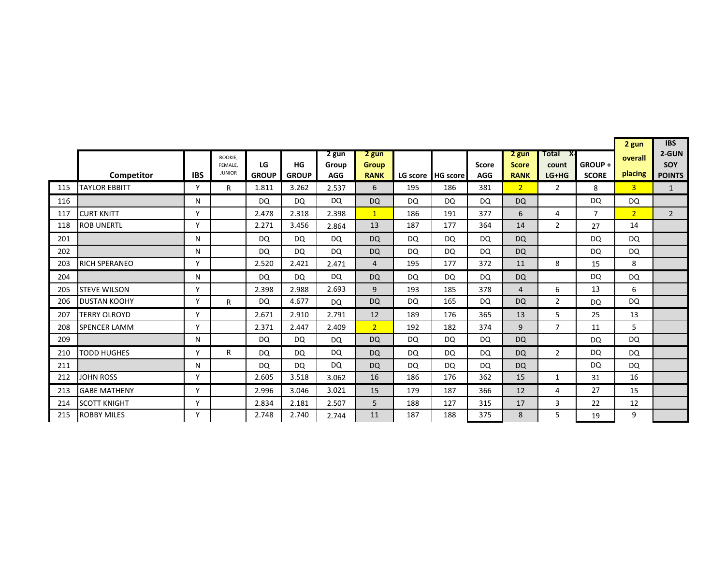|     | X-                   |              |                                     |                    |                    |                              |                                      |           |                   |                            |                                      |                           |                        |                    | <b>IBS</b>                    |
|-----|----------------------|--------------|-------------------------------------|--------------------|--------------------|------------------------------|--------------------------------------|-----------|-------------------|----------------------------|--------------------------------------|---------------------------|------------------------|--------------------|-------------------------------|
|     | Competitor           | <b>IBS</b>   | ROOKIE,<br>FEMALE.<br><b>JUNIOR</b> | LG<br><b>GROUP</b> | HG<br><b>GROUP</b> | 2 gun<br>Group<br><b>AGG</b> | 2 gun<br><b>Group</b><br><b>RANK</b> |           | LG score HG score | <b>Score</b><br><b>AGG</b> | 2 gun<br><b>Score</b><br><b>RANK</b> | Total<br>count<br>$LG+HG$ | GROUP+<br><b>SCORE</b> | overall<br>placing | 2-GUN<br>SOY<br><b>POINTS</b> |
| 115 | <b>TAYLOR EBBITT</b> | Y            | $\mathsf{R}$                        | 1.811              | 3.262              | 2.537                        | 6                                    | 195       | 186               | 381                        | 2 <sup>1</sup>                       | $\overline{2}$            | 8                      | $\overline{3}$     | $\mathbf{1}$                  |
| 116 |                      | N            |                                     | <b>DQ</b>          | DQ                 | DQ                           | <b>DQ</b>                            | DQ        | DQ                | DQ                         | <b>DQ</b>                            |                           | <b>DQ</b>              | DQ                 |                               |
| 117 | <b>CURT KNITT</b>    | $\checkmark$ |                                     | 2.478              | 2.318              | 2.398                        | $\mathbf{1}$                         | 186       | 191               | 377                        | 6                                    | 4                         | 7                      | $\overline{2}$     | $2^{\circ}$                   |
| 118 | <b>ROB UNERTL</b>    | Y            |                                     | 2.271              | 3.456              | 2.864                        | 13                                   | 187       | 177               | 364                        | 14                                   | $\overline{2}$            | 27                     | 14                 |                               |
| 201 |                      | N            |                                     | <b>DQ</b>          | <b>DQ</b>          | <b>DQ</b>                    | <b>DQ</b>                            | <b>DQ</b> | DQ                | <b>DQ</b>                  | <b>DQ</b>                            |                           | DQ                     | <b>DQ</b>          |                               |
| 202 |                      | N            |                                     | <b>DQ</b>          | DQ                 | DQ                           | <b>DQ</b>                            | DQ        | DQ                | DQ                         | <b>DQ</b>                            |                           | <b>DQ</b>              | DQ                 |                               |
| 203 | <b>RICH SPERANEO</b> | Y            |                                     | 2.520              | 2.421              | 2.471                        | 4                                    | 195       | 177               | 372                        | 11                                   | 8                         | 15                     | 8                  |                               |
| 204 |                      | N            |                                     | <b>DQ</b>          | DQ.                | <b>DQ</b>                    | <b>DQ</b>                            | <b>DQ</b> | DQ                | DQ                         | <b>DQ</b>                            |                           | <b>DQ</b>              | DQ                 |                               |
| 205 | <b>STEVE WILSON</b>  | Y            |                                     | 2.398              | 2.988              | 2.693                        | 9                                    | 193       | 185               | 378                        | 4                                    | 6                         | 13                     | 6                  |                               |
| 206 | <b>DUSTAN KOOHY</b>  | Y            | R.                                  | <b>DQ</b>          | 4.677              | DQ                           | <b>DQ</b>                            | DQ        | 165               | DQ                         | <b>DQ</b>                            | $\overline{2}$            | <b>DQ</b>              | DQ                 |                               |
| 207 | <b>TERRY OLROYD</b>  | Y            |                                     | 2.671              | 2.910              | 2.791                        | 12                                   | 189       | 176               | 365                        | 13                                   | 5                         | 25                     | 13                 |                               |
| 208 | <b>SPENCER LAMM</b>  | $\mathsf{v}$ |                                     | 2.371              | 2.447              | 2.409                        | 2 <sup>1</sup>                       | 192       | 182               | 374                        | 9                                    | $\overline{7}$            | 11                     | 5                  |                               |
| 209 |                      | N            |                                     | <b>DQ</b>          | DQ                 | DQ                           | <b>DQ</b>                            | <b>DQ</b> | <b>DQ</b>         | DQ                         | <b>DQ</b>                            |                           | <b>DQ</b>              | <b>DQ</b>          |                               |
| 210 | <b>TODD HUGHES</b>   | $\checkmark$ | R.                                  | <b>DQ</b>          | <b>DQ</b>          | <b>DQ</b>                    | <b>DQ</b>                            | <b>DQ</b> | DQ                | <b>DQ</b>                  | <b>DQ</b>                            | $\overline{2}$            | <b>DQ</b>              | DQ                 |                               |
| 211 |                      | N            |                                     | <b>DQ</b>          | <b>DQ</b>          | <b>DQ</b>                    | <b>DQ</b>                            | <b>DQ</b> | DQ                | DQ                         | <b>DQ</b>                            |                           | <b>DQ</b>              | <b>DQ</b>          |                               |
| 212 | <b>JOHN ROSS</b>     | Y            |                                     | 2.605              | 3.518              | 3.062                        | 16                                   | 186       | 176               | 362                        | 15                                   | 1                         | 31                     | 16                 |                               |
| 213 | <b>GABE MATHENY</b>  | Y            |                                     | 2.996              | 3.046              | 3.021                        | 15                                   | 179       | 187               | 366                        | 12                                   | 4                         | 27                     | 15                 |                               |
| 214 | <b>SCOTT KNIGHT</b>  | Y            |                                     | 2.834              | 2.181              | 2.507                        | 5                                    | 188       | 127               | 315                        | 17                                   | 3                         | 22                     | 12                 |                               |
| 215 | <b>ROBBY MILES</b>   | Y            |                                     | 2.748              | 2.740              | 2.744                        | 11                                   | 187       | 188               | 375                        | 8                                    | 5                         | 19                     | 9                  |                               |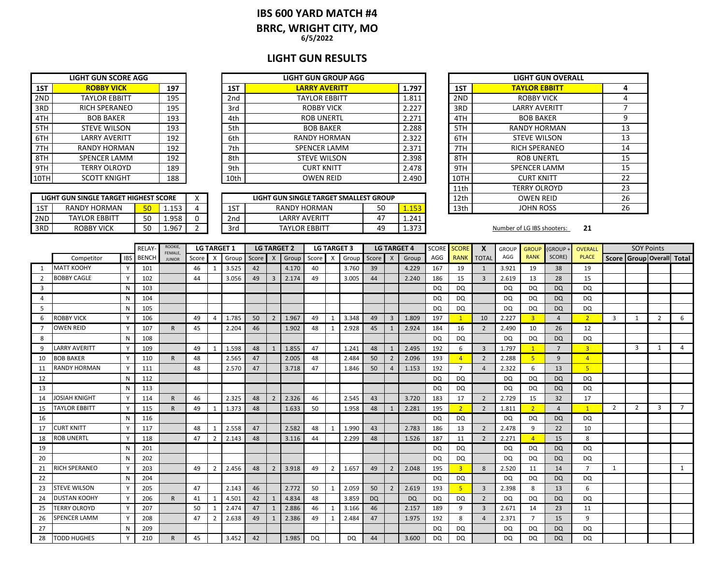# **IBS 600 YARD MATCH #4**

**BRRC, WRIGHT CITY, MO**

**6/5/2022**

### **LIGHT GUN RESULTS**

| <b>LIGHT GUN SCORE AGG</b> |                      |     |  |  |  |  |  |  |  |  |  |  |
|----------------------------|----------------------|-----|--|--|--|--|--|--|--|--|--|--|
| 1ST                        | <b>ROBBY VICK</b>    | 197 |  |  |  |  |  |  |  |  |  |  |
| 2ND                        | <b>TAYLOR EBBITT</b> | 195 |  |  |  |  |  |  |  |  |  |  |
| 3RD                        | <b>RICH SPERANEO</b> | 195 |  |  |  |  |  |  |  |  |  |  |
| 4TH                        | <b>BOB BAKER</b>     | 193 |  |  |  |  |  |  |  |  |  |  |
| 5TH                        | <b>STEVE WILSON</b>  | 193 |  |  |  |  |  |  |  |  |  |  |
| 6TH                        | <b>LARRY AVERITT</b> | 192 |  |  |  |  |  |  |  |  |  |  |
| 7TH                        | <b>RANDY HORMAN</b>  | 192 |  |  |  |  |  |  |  |  |  |  |
| 8TH                        | <b>SPENCER LAMM</b>  | 192 |  |  |  |  |  |  |  |  |  |  |
| 9TH                        | <b>TERRY OLROYD</b>  | 189 |  |  |  |  |  |  |  |  |  |  |
|                            | <b>SCOTT KNIGHT</b>  | 188 |  |  |  |  |  |  |  |  |  |  |

|     | LIGHT GUN SINGLE TARGET HIGHEST SCORE |    |       |   |
|-----|---------------------------------------|----|-------|---|
| 1ST | RANDY HORMAN                          | 50 | 1.153 |   |
| 2ND | <b>TAYLOR EBBITT</b>                  | 50 | 1.958 | Ω |
| 3RD | ROBBY VICK                            | 50 | 1 967 |   |

|      | LIGHT GUN SCORE AGG  |     |      | <b>LIGHT GUN GROUP AGG</b> |       |      | <b>LIGHT GUN OVERALL</b> |
|------|----------------------|-----|------|----------------------------|-------|------|--------------------------|
| 1ST  | <b>ROBBY VICK</b>    | 197 | 1ST  | <b>LARRY AVERITT</b>       | 1.797 | 1ST  | <b>TAYLOR EBBITT</b>     |
| 2ND  | <b>TAYLOR EBBITT</b> | 195 | 2nd  | TAYLOR EBBITT              | 1.811 | 2ND  | <b>ROBBY VICK</b>        |
| 3RD  | <b>RICH SPERANEO</b> | 195 | 3rd  | ROBBY VICK                 | 2.227 | 3RD  | <b>LARRY AVERITT</b>     |
| 4TH  | <b>BOB BAKER</b>     | 193 | 4th  | <b>ROB UNERTL</b>          | 2.271 | 4TH  | <b>BOB BAKER</b>         |
| 5TH  | <b>STEVE WILSON</b>  | 193 | 5th  | <b>BOB BAKER</b>           | 2.288 | 5TH  | <b>RANDY HORMAN</b>      |
| 6TH  | <b>LARRY AVERITT</b> | 192 | 6th  | <b>RANDY HORMAN</b>        | 2.322 | 6TH  | <b>STEVE WILSON</b>      |
| 7TH  | <b>RANDY HORMAN</b>  | 192 | 7th  | <b>SPENCER LAMM</b>        | 2.371 | 7TH  | <b>RICH SPERANEO</b>     |
| 8TH  | SPENCER LAMM         | 192 | 8th  | <b>STEVE WILSON</b>        | 2.398 | 8TH  | <b>ROB UNERTL</b>        |
| 9TH  | <b>TERRY OLROYD</b>  | 189 | 9th  | <b>CURT KNITT</b>          | 2.478 | 9TH  | <b>SPENCER LAMM</b>      |
| 10TH | <b>SCOTT KNIGHT</b>  | 188 | 10th | <b>OWEN REID</b>           | 2.490 | 10TH | <b>CURT KNITT</b>        |

|     | LIGHT GUN SINGLE TARGET HIGHEST SCORE |    |        | $\lambda$ |          | LIGHT GUN SINGLE TARGET SMALLEST GROUP |    |              | 12th | <b>OWEN REID</b>           |    |
|-----|---------------------------------------|----|--------|-----------|----------|----------------------------------------|----|--------------|------|----------------------------|----|
| 1ST | <b>RANDY HORMAN</b>                   | 50 | 153    |           | 1C<br>⊥⊃ | RANDY HORMAN                           | 50 | 52<br>-----  | 13th | <b>JOHN ROSS</b>           |    |
| 2ND | <b>TAYLOR EBBITT</b>                  | 50 | 958    |           | 2nd      | <b>LARRY AVERITT</b>                   |    | 1.241        |      |                            |    |
| 3RD | <b>ROBBY VICK</b>                     | 50 | ۔967.ء |           | 3rd      | <b>TAYLOR EBBITT</b>                   | 49 | ר ד<br>د تد. |      | Number of LG IBS shooters: | 21 |

|      | <b>LIGHT GUN OVERALL</b> |    |  |  |  |  |  |  |  |  |  |  |
|------|--------------------------|----|--|--|--|--|--|--|--|--|--|--|
| 1ST  | <b>TAYLOR EBBITT</b>     | 4  |  |  |  |  |  |  |  |  |  |  |
| 2ND  | ROBBY VICK               | 4  |  |  |  |  |  |  |  |  |  |  |
| 3RD  | <b>LARRY AVERITT</b>     | 7  |  |  |  |  |  |  |  |  |  |  |
| 4TH  | <b>BOB BAKER</b>         | 9  |  |  |  |  |  |  |  |  |  |  |
| 5TH  | <b>RANDY HORMAN</b>      | 13 |  |  |  |  |  |  |  |  |  |  |
| 6TH  | <b>STEVE WILSON</b>      | 13 |  |  |  |  |  |  |  |  |  |  |
| 7TH  | <b>RICH SPERANEO</b>     | 14 |  |  |  |  |  |  |  |  |  |  |
| 8TH  | <b>ROB UNERTL</b>        | 15 |  |  |  |  |  |  |  |  |  |  |
| 9TH  | <b>SPENCER LAMM</b>      | 15 |  |  |  |  |  |  |  |  |  |  |
| 10TH | <b>CURT KNITT</b>        | 22 |  |  |  |  |  |  |  |  |  |  |
| 11th | <b>TERRY OLROYD</b>      | 23 |  |  |  |  |  |  |  |  |  |  |
| 12th | <b>OWEN REID</b>         | 26 |  |  |  |  |  |  |  |  |  |  |
| 13th | <b>JOHN ROSS</b>         | 26 |  |  |  |  |  |  |  |  |  |  |

|    |                      |              | <b>RELAY</b> | ROOKIE,<br>FEMALE. |       | <b>LG TARGET 1</b> |             | <b>LG TARGET 2</b> |                           |       | <b>LG TARGET 3</b> |              |       |           | <b>LG TARGET 4</b> |           | SCORE     | <b>SCORE</b>   | X              | <b>GROUP</b> | <b>GROUF</b>   | (GROUP         | <b>OVERALL</b> |                | <b>SOY Points</b>               |                |                |
|----|----------------------|--------------|--------------|--------------------|-------|--------------------|-------------|--------------------|---------------------------|-------|--------------------|--------------|-------|-----------|--------------------|-----------|-----------|----------------|----------------|--------------|----------------|----------------|----------------|----------------|---------------------------------|----------------|----------------|
|    | Competitor           | <b>IBS</b>   | <b>BENCH</b> | <b>JUNIOR</b>      | Score | X                  | Group Score |                    | $\boldsymbol{\mathsf{x}}$ | Group | Score              | X            | Group | Score     | $\mathsf{X}$       | Group     | AGG       | <b>RANK</b>    | <b>TOTAL</b>   | AGG          | <b>RANK</b>    | SCORE)         | <b>PLACE</b>   |                | Score   Group   Overall   Total |                |                |
|    | <b>MATT KOOHY</b>    | $\mathsf{v}$ | 101          |                    | 46    | 1                  | 3.525       | 42                 |                           | 4.170 | 40                 |              | 3.760 | 39        |                    | 4.229     | 167       | 19             |                | 3.921        | 19             | 38             | 19             |                |                                 |                |                |
|    | <b>BOBBY CAGLE</b>   |              | 102          |                    | 44    |                    | 3.056       | 49                 | 3                         | 2.174 | 49                 |              | 3.005 | 44        |                    | 2.240     | 186       | 15             | 3              | 2.619        | 13             | 28             | 15             |                |                                 |                |                |
| 3  |                      | N            | 103          |                    |       |                    |             |                    |                           |       |                    |              |       |           |                    |           | DQ        | DQ             |                | <b>DQ</b>    | DQ             | <b>DQ</b>      | <b>DQ</b>      |                |                                 |                |                |
| 4  |                      | N            | 104          |                    |       |                    |             |                    |                           |       |                    |              |       |           |                    |           | DQ        | DQ             |                | DQ           | DQ             | <b>DQ</b>      | <b>DQ</b>      |                |                                 |                |                |
| 5  |                      | N            | 105          |                    |       |                    |             |                    |                           |       |                    |              |       |           |                    |           | <b>DQ</b> | DQ             |                | <b>DQ</b>    | DQ             | <b>DQ</b>      | DQ             |                |                                 |                |                |
| 6  | <b>ROBBY VICK</b>    | <b>V</b>     | 106          |                    | 49    | $\overline{4}$     | 1.785       | 50                 | $\overline{2}$            | 1.967 | 49                 | 1            | 3.348 | 49        | $\overline{3}$     | 1.809     | 197       | $\mathbf{1}$   | 10             | 2.227        | $\overline{3}$ | $\overline{a}$ | $\overline{2}$ | 3              | 1                               | $\overline{2}$ | 6              |
|    | <b>OWEN REID</b>     |              | 107          |                    | 45    |                    | 2.204       | 46                 |                           | 1.902 | 48                 | $\mathbf{1}$ | 2.928 | 45        | 1                  | 2.924     | 184       | 16             | $\mathcal{P}$  | 2.490        | 10             | 26             | 12             |                |                                 |                |                |
| 8  |                      | N            | 108          |                    |       |                    |             |                    |                           |       |                    |              |       |           |                    |           | DQ        | DQ             |                | <b>DQ</b>    | DQ             | <b>DQ</b>      | DQ             |                |                                 |                |                |
| 9  | <b>LARRY AVERITT</b> | Y            | 109          |                    | 49    | 1                  | 1.598       | 48                 |                           | 1.855 | 47                 |              | 1.241 | 48        | $\mathbf{1}$       | 2.495     | 192       | 6              | 3              | 1.797        | $\mathbf{1}$   | $\overline{7}$ | $\overline{3}$ |                | 3                               | $\mathbf{1}$   | 4              |
| 10 | <b>BOB BAKER</b>     | Y            | 110          | $\mathsf{R}$       | 48    |                    | 2.565       | 47                 |                           | 2.005 | 48                 |              | 2.484 | 50        | $\overline{2}$     | 2.096     | 193       | $\overline{4}$ | $\overline{2}$ | 2.288        | 5              | 9              | $\overline{4}$ |                |                                 |                |                |
| 11 | <b>RANDY HORMAN</b>  |              | 111          |                    | 48    |                    | 2.570       | 47                 |                           | 3.718 | 47                 |              | 1.846 | 50        | $\overline{a}$     | 1.153     | 192       | $\overline{7}$ |                | 2.322        | 6              | 13             | 5 <sub>5</sub> |                |                                 |                |                |
| 12 |                      | N            | 112          |                    |       |                    |             |                    |                           |       |                    |              |       |           |                    |           | DQ        | <b>DQ</b>      |                | <b>DQ</b>    | DQ             | <b>DQ</b>      | DQ             |                |                                 |                |                |
| 13 |                      | N            | 113          |                    |       |                    |             |                    |                           |       |                    |              |       |           |                    |           | DQ        | DQ             |                | DQ           | DQ             | <b>DQ</b>      | <b>DQ</b>      |                |                                 |                |                |
| 14 | <b>JOSIAH KNIGHT</b> | Y            | 114          | $\mathsf{R}$       | 46    |                    | 2.325       | 48                 | $\overline{2}$            | 2.326 | 46                 |              | 2.545 | 43        |                    | 3.720     | 183       | 17             | 2              | 2.729        | 15             | 32             | 17             |                |                                 |                |                |
| 15 | <b>TAYLOR EBBITT</b> |              | 115          | R                  | 49    |                    | 1.373       | 48                 |                           | 1.633 | 50                 |              | 1.958 | 48        |                    | 2.281     | 195       | 2              |                | 1.811        | $\overline{2}$ | 4              | $\mathbf{1}$   | $\overline{2}$ | $\overline{2}$                  | $\overline{3}$ | $\overline{7}$ |
| 16 |                      | N            | 116          |                    |       |                    |             |                    |                           |       |                    |              |       |           |                    |           | DQ        | <b>DQ</b>      |                | DQ           | DQ             | <b>DQ</b>      | <b>DQ</b>      |                |                                 |                |                |
| 17 | CURT KNITT           |              | 117          |                    | 48    | 1                  | 2.558       | 47                 |                           | 2.582 | 48                 | $\mathbf{1}$ | 1.990 | 43        |                    | 2.783     | 186       | 13             | $\overline{2}$ | 2.478        | 9              | 22             | 10             |                |                                 |                |                |
| 18 | <b>ROB UNERTL</b>    |              | 118          |                    | 47    | $\overline{2}$     | 2.143       | 48                 |                           | 3.116 | 44                 |              | 2.299 | 48        |                    | 1.526     | 187       | 11             | $\overline{2}$ | 2.271        | $\overline{4}$ | 15             | 8              |                |                                 |                |                |
| 19 |                      | N            | 201          |                    |       |                    |             |                    |                           |       |                    |              |       |           |                    |           | DQ        | DQ             |                | <b>DQ</b>    | DQ             | <b>DQ</b>      | <b>DQ</b>      |                |                                 |                |                |
| 20 |                      | N            | 202          |                    |       |                    |             |                    |                           |       |                    |              |       |           |                    |           | DQ        | DQ             |                | DQ           | DQ             | <b>DQ</b>      | <b>DQ</b>      |                |                                 |                |                |
| 21 | RICH SPERANEO        | $\mathsf{v}$ | 203          |                    | 49    | $\overline{2}$     | 2.456       | 48                 | $2^{\circ}$               | 3.918 | 49                 | 2            | 1.657 | 49        | $\overline{2}$     | 2.048     | 195       | $\overline{3}$ | 8              | 2.520        | 11             | 14             | $\overline{7}$ | $\mathbf{1}$   |                                 |                | 1              |
| 22 |                      | N            | 204          |                    |       |                    |             |                    |                           |       |                    |              |       |           |                    |           | <b>DQ</b> | DQ             |                | <b>DQ</b>    | DQ             | <b>DQ</b>      | <b>DQ</b>      |                |                                 |                |                |
| 23 | <b>STEVE WILSON</b>  |              | 205          |                    | 47    |                    | 2.143       | 46                 |                           | 2.772 | 50                 | $\mathbf{1}$ | 2.059 | 50        | $\overline{2}$     | 2.619     | 193       | 5 <sup>1</sup> | 3              | 2.398        | 8              | 13             | 6              |                |                                 |                |                |
| 24 | <b>DUSTAN KOOHY</b>  |              | 206          |                    | 41    |                    | 4.501       | 42                 |                           | 4.834 | 48                 |              | 3.859 | <b>DQ</b> |                    | <b>DQ</b> | DQ        | DQ             | 2              | <b>DQ</b>    | DQ             | <b>DQ</b>      | <b>DQ</b>      |                |                                 |                |                |
| 25 | <b>TERRY OLROYD</b>  |              | 207          |                    | 50    | 1                  | 2.474       | 47                 |                           | 2.886 | 46                 |              | 3.166 | 46        |                    | 2.157     | 189       | 9              | 3              | 2.671        | 14             | 23             | 11             |                |                                 |                |                |
| 26 | <b>SPENCER LAMM</b>  |              | 208          |                    | 47    | 2                  | 2.638       | 49                 |                           | 2.386 | 49                 | -1           | 2.484 | 47        |                    | 1.975     | 192       | 8              |                | 2.371        | $\overline{7}$ | 15             | 9              |                |                                 |                |                |
| 27 |                      | N            | 209          |                    |       |                    |             |                    |                           |       |                    |              |       |           |                    |           | <b>DQ</b> | <b>DQ</b>      |                | DQ           | DQ             | <b>DQ</b>      | <b>DQ</b>      |                |                                 |                |                |
| 28 | <b>TODD HUGHES</b>   |              | 210          |                    | 45    |                    | 3.452       | 42                 |                           | 1.985 | DQ.                |              | DQ    | 44        |                    | 3.600     | <b>DQ</b> | DQ             |                | <b>DQ</b>    | DQ             | <b>DQ</b>      | DQ             |                |                                 |                |                |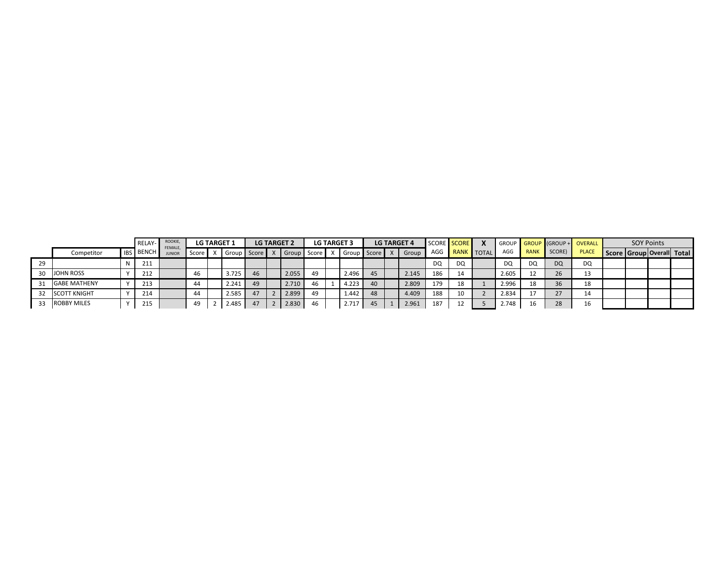|    |                     | RELAY-           | ROOKIE,<br>FEMALE. |         | <b>LG TARGET 1</b> |    | <b>LG TARGET 2</b> |       | <b>LG TARGET 3</b> |    | <b>LG TARGET 4</b> |     | SCORE SCORE |                |           |             |           | GROUP GROUP (GROUP + OVERALL |                           | <b>SOY Points</b> |  |
|----|---------------------|------------------|--------------------|---------|--------------------|----|--------------------|-------|--------------------|----|--------------------|-----|-------------|----------------|-----------|-------------|-----------|------------------------------|---------------------------|-------------------|--|
|    | Competitor          | <b>IBS BENCH</b> | <b>JUNIOR</b>      | Score l | Group Score X      |    | Group              | Score | X Group Score X    |    | <b>Group</b>       |     |             | AGG RANK TOTAL | AGG       | <b>RANK</b> | SCORE)    | <b>PLACE</b>                 | Score Group Overall Total |                   |  |
| 29 |                     | 211              |                    |         |                    |    |                    |       |                    |    |                    | DQ  | DQ          |                | <b>DQ</b> | DQ          | <b>DQ</b> | DQ                           |                           |                   |  |
|    | <b>JOHN ROSS</b>    | 212              |                    | 46      | 3.725              | 46 | 2.055              | 49    | 2.496              | 45 | 2.145              | 186 | 14          |                | 2.605     |             | 26        | 13                           |                           |                   |  |
|    | <b>GABE MATHENY</b> | 213              |                    | 44      | 2.241              | 49 | 2.710              | 46    | 4.223              | 40 | 2.809              | 179 | 18          |                | 2.996     | 18          | 36        | 18                           |                           |                   |  |
|    | <b>SCOTT KNIGHT</b> | 214              |                    | 44      | 2.585              | 47 | 2.899              | 49    | 1.442              | 48 | 4.409              | 188 | 10          |                | 2.834     |             | 27        | 14                           |                           |                   |  |
|    | <b>ROBBY MILES</b>  | 215              |                    | 49      | 2.485              | 47 | 2.830              | 46    | 2.717              | 45 | 2.961              | 187 | 12          |                | 2.748     |             | 28        | 16                           |                           |                   |  |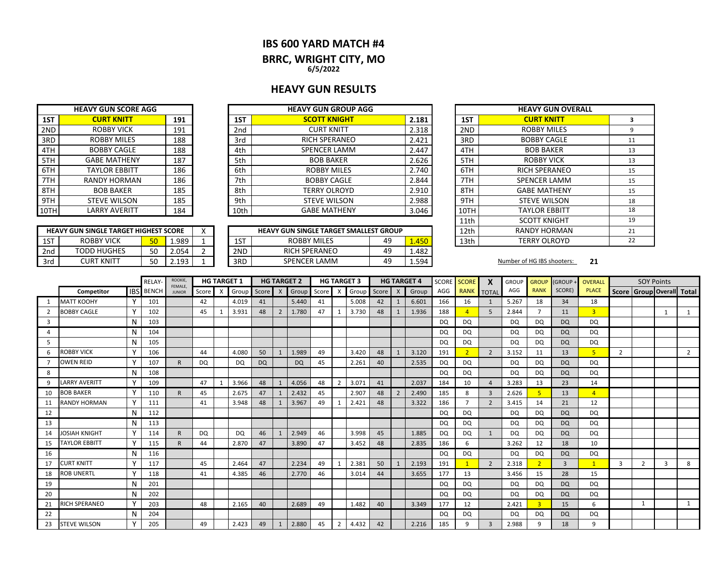#### **IBS 600 YARD MATCH #4**

# **BRRC, WRIGHT CITY, MO**

**6/5/2022**

#### **HEAVY GUN RESULTS**

|      | <b>HEAVY GUN SCORE AGG</b> |     |                 | <b>HEAVY GUN GROUP AGG</b> |       |
|------|----------------------------|-----|-----------------|----------------------------|-------|
| 1ST  | <b>CURT KNITT</b>          | 191 | 1ST             | <b>SCOTT KNIGHT</b>        | 2.181 |
| 2ND  | <b>ROBBY VICK</b>          | 191 | 2 <sub>nd</sub> | <b>CURT KNITT</b>          | 2.318 |
| 3RD  | <b>ROBBY MILES</b>         | 188 | 3rd             | <b>RICH SPERANEO</b>       | 2.421 |
| 4TH  | <b>BOBBY CAGLE</b>         | 188 | 4th             | <b>SPENCER LAMM</b>        | 2.447 |
| 5TH  | <b>GABE MATHENY</b>        | 187 | 5th             | <b>BOB BAKER</b>           | 2.626 |
| 6TH  | <b>TAYLOR EBBITT</b>       | 186 | 6th             | <b>ROBBY MILES</b>         | 2.740 |
| 7TH  | <b>RANDY HORMAN</b>        | 186 | 7th             | <b>BOBBY CAGLE</b>         | 2.844 |
| 8TH  | <b>BOB BAKER</b>           | 185 | 8th             | <b>TERRY OLROYD</b>        | 2.910 |
| 9TH  | <b>STEVE WILSON</b>        | 185 | 9th             | <b>STEVE WILSON</b>        | 2.988 |
| 10TH | LARRY AVERITT              | 184 | 10th            | <b>GABE MATHENY</b>        | 3.046 |
|      |                            |     |                 |                            |       |

|     | <b>HEAVY GUN SINGLE TARGET HIGHEST SCORE</b> |          |       |     | <b>HEAVY GUN SINGLE TARGET SMALLEST GROUP</b> |    |       | 12th | <b>RANDY HORMAN</b>        |    |
|-----|----------------------------------------------|----------|-------|-----|-----------------------------------------------|----|-------|------|----------------------------|----|
| 1ST | <b>ROBBY VICK</b>                            |          | 1.989 | 1ST | <b>ROBBY MILES</b>                            | 49 | .450  | 13th | <b>TERRY OLROYD</b>        |    |
| 2nd | <b>TODD HUGHES</b>                           | $\sim$   | 4.054 | 2ND | <b>RICH SPERANEO</b>                          | 49 | 1.482 |      |                            |    |
| 3rd | CURT KNITT                                   | $\Gamma$ | 102   | 3RD | <b>SPENCER LAMM</b>                           | 49 | 1.594 |      | Number of HG IBS shooters: | 21 |

| <b>HEAVY GUN GROUP AGG</b>      |    |       |                     | <b>HEAVY GUN OVERALL</b> |    |
|---------------------------------|----|-------|---------------------|--------------------------|----|
| <b>SCOTT KNIGHT</b>             |    | 2.181 | 1ST                 | <b>CURT KNITT</b>        | 3  |
| <b>CURT KNITT</b>               |    | 2.318 | 2ND                 | <b>ROBBY MILES</b>       | 9  |
| <b>RICH SPERANEO</b>            |    | 2.421 | 3RD                 | <b>BOBBY CAGLE</b>       | 11 |
| <b>SPENCER LAMM</b>             |    | 2.447 | 4TH                 | <b>BOB BAKER</b>         | 13 |
| <b>BOB BAKER</b>                |    | 2.626 | 5TH                 | <b>ROBBY VICK</b>        | 13 |
| <b>ROBBY MILES</b>              |    | 2.740 | 6TH                 | <b>RICH SPERANEO</b>     | 15 |
| <b>BOBBY CAGLE</b>              |    | 2.844 | 7TH                 | <b>SPENCER LAMM</b>      | 15 |
| <b>TERRY OLROYD</b>             |    | 2.910 | 8TH                 | <b>GABE MATHENY</b>      | 15 |
| <b>STEVE WILSON</b>             |    | 2.988 | 9TH                 | <b>STEVE WILSON</b>      | 18 |
| <b>GABE MATHENY</b>             |    | 3.046 | 10TH                | <b>TAYLOR EBBITT</b>     | 18 |
|                                 |    |       | 11th                | <b>SCOTT KNIGHT</b>      | 19 |
| JN SINGLE TARGET SMALLEST GROUP |    | 12th  | <b>RANDY HORMAN</b> | 21                       |    |
| ROBBY MILES                     | 49 | 1.450 | 13th                | <b>TERRY OLROYD</b>      | 22 |

|    |                      |              | <b>RELAY</b>     | ROOKIE,<br>FEMALE, |           |              | <b>HG TARGET 1</b> |           |                  | <b>HG TARGET 2</b> |       |                | <b>HG TARGET 3</b> |       |                | <b>HG TARGET 4</b> | SCORE     | <b>SCORE</b>   | X              | <b>GROUP</b> | <b>GROUP</b>            | (GROUP+   | <b>OVERALL</b> |                | <b>SOY Points</b> |   |                           |
|----|----------------------|--------------|------------------|--------------------|-----------|--------------|--------------------|-----------|------------------|--------------------|-------|----------------|--------------------|-------|----------------|--------------------|-----------|----------------|----------------|--------------|-------------------------|-----------|----------------|----------------|-------------------|---|---------------------------|
|    | Competitor           |              | <b>IBS</b> BENCH | <b>JUNIOR</b>      | Score     | $\mathsf{X}$ | Group              | Score     | $\boldsymbol{X}$ | Group              | Score | X              | Group              | Score | $\mathsf{X}$   | Group              | AGG       | <b>RANK</b>    | <b>TOTAL</b>   | AGG          | <b>RANK</b>             | SCORE)    | <b>PLACE</b>   |                |                   |   | Score Group Overall Total |
|    | <b>MATT KOOHY</b>    | Y            | 101              |                    | 42        |              | 4.019              | 41        |                  | 5.440              | 41    |                | 5.008              | 42    |                | 6.601              | 166       | 16             | 1              | 5.267        | 18                      | 34        | 18             |                |                   |   |                           |
|    | <b>BOBBY CAGLE</b>   |              | 102              |                    | 45        |              | 3.931              | 48        | $\overline{2}$   | 1.780              | 47    |                | 3.730              | 48    |                | 1.936              | 188       | $\overline{a}$ | 5              | 2.844        |                         | 11        | $\overline{3}$ |                |                   |   |                           |
| 3  |                      | N            | 103              |                    |           |              |                    |           |                  |                    |       |                |                    |       |                |                    | DQ        | <b>DQ</b>      |                | DQ           | DQ                      | <b>DQ</b> | DQ             |                |                   |   |                           |
| 4  |                      | N            | 104              |                    |           |              |                    |           |                  |                    |       |                |                    |       |                |                    | <b>DQ</b> | <b>DQ</b>      |                | DQ           | DQ                      | <b>DQ</b> | DQ             |                |                   |   |                           |
| 5  |                      |              | 105              |                    |           |              |                    |           |                  |                    |       |                |                    |       |                |                    | <b>DQ</b> | <b>DQ</b>      |                | DQ           | DQ                      | <b>DQ</b> | DQ             |                |                   |   |                           |
| 6  | ROBBY VICK           |              | 106              |                    | 44        |              | 4.080              | 50        |                  | 1.989              | 49    |                | 3.420              | 48    |                | 3.120              | 191       | $\overline{2}$ | $\overline{2}$ | 3.152        | 11                      | 13        | 5 <sup>1</sup> | $\overline{2}$ |                   |   | $\overline{2}$            |
|    | <b>OWEN REID</b>     |              | 107              | R.                 | <b>DQ</b> |              | <b>DQ</b>          | <b>DQ</b> |                  | <b>DQ</b>          | 45    |                | 2.261              | 40    |                | 2.535              | DQ        | <b>DQ</b>      |                | <b>DQ</b>    | DQ                      | <b>DQ</b> | <b>DQ</b>      |                |                   |   |                           |
| 8  |                      | N            | 108              |                    |           |              |                    |           |                  |                    |       |                |                    |       |                |                    | <b>DQ</b> | <b>DQ</b>      |                | DQ           | <b>DQ</b>               | <b>DQ</b> | DQ             |                |                   |   |                           |
| 9  | <b>LARRY AVERITT</b> |              | 109              |                    | 47        |              | 3.966              | 48        |                  | 4.056              | 48    | $\overline{2}$ | 3.071              | 41    |                | 2.037              | 184       | 10             | $\Delta$       | 3.283        | 13                      | 23        | 14             |                |                   |   |                           |
| 10 | <b>BOB BAKER</b>     |              | 110              | R.                 | 45        |              | 2.675              | 47        | 1                | 2.432              | 45    |                | 2.907              | 48    | $\overline{2}$ | 2.490              | 185       | 8              | $\overline{3}$ | 2.626        | 5                       | 13        | $\overline{4}$ |                |                   |   |                           |
| 11 | <b>RANDY HORMAN</b>  | $\mathsf{v}$ | 111              |                    | 41        |              | 3.948              | 48        |                  | 3.967              | 49    |                | 2.421              | 48    |                | 3.322              | 186       | $\overline{ }$ | $\overline{2}$ | 3.415        | 14                      | 21        | 12             |                |                   |   |                           |
| 12 |                      | N            | 112              |                    |           |              |                    |           |                  |                    |       |                |                    |       |                |                    | <b>DQ</b> | <b>DQ</b>      |                | DQ           | <b>DQ</b>               | <b>DQ</b> | <b>DQ</b>      |                |                   |   |                           |
| 13 |                      | N            | 113              |                    |           |              |                    |           |                  |                    |       |                |                    |       |                |                    | DQ        | <b>DQ</b>      |                | <b>DQ</b>    | DQ                      | <b>DQ</b> | <b>DQ</b>      |                |                   |   |                           |
| 14 | JOSIAH KNIGHT        | <b>V</b>     | 114              | $\mathsf{R}$       | DQ        |              | <b>DQ</b>          | 46        | 1                | 2.949              | 46    |                | 3.998              | 45    |                | 1.885              | <b>DQ</b> | <b>DQ</b>      | $\mathbf{1}$   | <b>DQ</b>    | <b>DQ</b>               | <b>DQ</b> | <b>DQ</b>      |                |                   |   |                           |
| 15 | TAYLOR EBBITT        | Y            | 115              | R                  | 44        |              | 2.870              | 47        |                  | 3.890              | 47    |                | 3.452              | 48    |                | 2.835              | 186       | 6              |                | 3.262        | 12                      | 18        | 10             |                |                   |   |                           |
| 16 |                      | N            | 116              |                    |           |              |                    |           |                  |                    |       |                |                    |       |                |                    | DQ        | <b>DQ</b>      |                | <b>DQ</b>    | DQ                      | <b>DQ</b> | DQ             |                |                   |   |                           |
| 17 | <b>CURT KNITT</b>    |              | 117              |                    | 45        |              | 2.464              | 47        |                  | 2.234              | 49    |                | 2.381              | 50    |                | 2.193              | 191       |                | $\overline{2}$ | 2.318        | $\overline{2}$          | 3         |                | 3              | $\overline{2}$    | 3 | 8                         |
| 18 | <b>ROB UNERTL</b>    |              | 118              |                    | 41        |              | 4.385              | 46        |                  | 2.770              | 46    |                | 3.014              | 44    |                | 3.655              | 177       | 13             |                | 3.456        | 15                      | 28        | 15             |                |                   |   |                           |
| 19 |                      | N            | 201              |                    |           |              |                    |           |                  |                    |       |                |                    |       |                |                    | DQ        | DQ             |                | <b>DQ</b>    | DQ                      | <b>DQ</b> | <b>DQ</b>      |                |                   |   |                           |
| 20 |                      | N            | 202              |                    |           |              |                    |           |                  |                    |       |                |                    |       |                |                    | DQ        | <b>DQ</b>      |                | <b>DQ</b>    | <b>DQ</b>               | <b>DQ</b> | <b>DQ</b>      |                |                   |   |                           |
| 21 | RICH SPERANEO        |              | 203              |                    | 48        |              | 2.165              | 40        |                  | 2.689              | 49    |                | 1.482              | 40    |                | 3.349              | 177       | 12             |                | 2.421        | $\overline{\mathbf{3}}$ | 15        | 6              |                | -1                |   |                           |
| 22 |                      | N            | 204              |                    |           |              |                    |           |                  |                    |       |                |                    |       |                |                    | <b>DQ</b> | <b>DQ</b>      |                | DQ           | DQ                      | <b>DQ</b> | <b>DQ</b>      |                |                   |   |                           |
| 23 | <b>STEVE WILSON</b>  |              | 205              |                    | 49        |              | 2.423              | 49        |                  | 2.880              | 45    | 2              | 4.432              | 42    |                | 2.216              | 185       | 9              | $\overline{3}$ | 2.988        | q                       | 18        | 9              |                |                   |   |                           |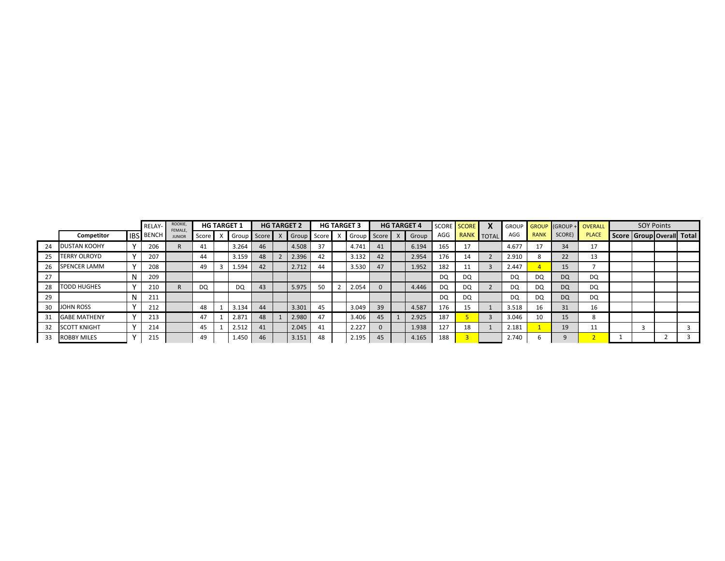|    |                     | RELAY-           | ROOKIE,<br>FEMALE |           | <b>HG TARGET 1</b> |       | <b>HG TARGET 2</b> |    | <b>HG TARGET 3</b> |    | <b>HG TARGET 4</b> |           | SCORE SCORE | X                | <b>GROUP</b> |             |           | <b>GROUP (GROUP + OVERALL</b> | <b>SOY Points</b> |                                 |  |
|----|---------------------|------------------|-------------------|-----------|--------------------|-------|--------------------|----|--------------------|----|--------------------|-----------|-------------|------------------|--------------|-------------|-----------|-------------------------------|-------------------|---------------------------------|--|
|    | Competitor          | <b>IBS BENCH</b> | <b>JUNIOR</b>     | Score     | Group              | Score | Group Score        |    | Group Score        |    | Group              | AGG       | <b>RANK</b> | $\sqrt{ }$ TOTAL | AGG          | <b>RANK</b> | SCORE)    | <b>PLACE</b>                  |                   | Score   Group   Overall   Total |  |
| 24 | DUSTAN KOOHY        | 206              |                   | 41        | 3.264              | 46    | 4.508              | 37 | 4.741              | 41 | 6.194              | 165       |             |                  | 4.677        | 17          | 34        | 17                            |                   |                                 |  |
|    | <b>TERRY OLROYD</b> | 207              |                   | 44        | 3.159              | 48    | 2.396              | 42 | 3.132              | 42 | 2.954              | 176       | 14          |                  | 2.910        |             | 22        | 13                            |                   |                                 |  |
| 26 | <b>SPENCER LAMM</b> | 208              |                   | 49        | 1.594              | 42    | 2.712              | 44 | 3.530              | 47 | 1.952              | 182       |             |                  | 2.447        |             | 15        |                               |                   |                                 |  |
| 27 |                     | 209              |                   |           |                    |       |                    |    |                    |    |                    | DQ        | DQ          |                  | <b>DQ</b>    | DQ          | <b>DQ</b> | DQ                            |                   |                                 |  |
| 28 | <b>TODD HUGHES</b>  | 210              |                   | <b>DQ</b> | DQ                 | 43    | 5.975              | 50 | 2.054              |    | 4.446              | <b>DQ</b> | DQ          |                  | DQ           | <b>DQ</b>   | DQ        | <b>DQ</b>                     |                   |                                 |  |
| 29 |                     | 211              |                   |           |                    |       |                    |    |                    |    |                    | DQ        | DQ          |                  | DQ           | DQ          | <b>DQ</b> | DQ                            |                   |                                 |  |
| 30 | <b>JOHN ROSS</b>    | 212              |                   | 48        | 3.134              | 44    | 3.301              | 45 | 3.049              | 39 | 4.587              | 176       |             |                  | 3.518        | 16          | 31        | 16                            |                   |                                 |  |
|    | <b>GABE MATHENY</b> | 213              |                   | 47        | 2.871              | 48    | 2.980              | 47 | 3.406              | 45 | 2.925              | 187       |             |                  | 3.046        | 10          | 15        |                               |                   |                                 |  |
| 32 | <b>SCOTT KNIGHT</b> | 214              |                   | 45        | 2.512              | 41    | 2.045              | 41 | 2.227              |    | 1.938              | 127       | 18          |                  | 2.181        |             | 19        | 11                            |                   |                                 |  |
| 33 | <b>ROBBY MILES</b>  | 215              |                   | 49        | 1.450              | 46    | 3.151              | 48 | 2.195              | 45 | 4.165              | 188       |             |                  | 2.740        |             | $\alpha$  |                               |                   |                                 |  |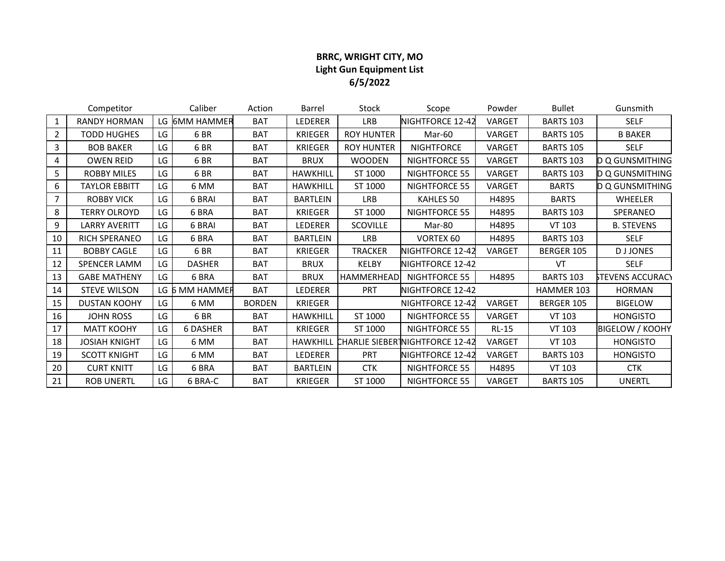## **BRRC, WRIGHT CITY, MO Light Gun Equipment List 6/5/2022**

|                | Competitor           |    | Caliber         | Action        | Barrel          | Stock             | Scope                           | Powder       | <b>Bullet</b>    | Gunsmith                |
|----------------|----------------------|----|-----------------|---------------|-----------------|-------------------|---------------------------------|--------------|------------------|-------------------------|
| $\mathbf{1}$   | <b>RANDY HORMAN</b>  |    | LG 6MM HAMMER   | <b>BAT</b>    | LEDERER         | <b>LRB</b>        | NIGHTFORCE 12-42                | VARGET       | <b>BARTS 103</b> | <b>SELF</b>             |
| $\overline{2}$ | <b>TODD HUGHES</b>   | LG | 6 BR            | <b>BAT</b>    | <b>KRIEGER</b>  | <b>ROY HUNTER</b> | Mar-60                          | VARGET       | <b>BARTS 105</b> | <b>B BAKER</b>          |
| 3              | <b>BOB BAKER</b>     | LG | 6 BR            | <b>BAT</b>    | <b>KRIEGER</b>  | <b>ROY HUNTER</b> | <b>NIGHTFORCE</b>               | VARGET       | <b>BARTS 105</b> | <b>SELF</b>             |
| 4              | <b>OWEN REID</b>     | LG | 6 <sub>BR</sub> | <b>BAT</b>    | <b>BRUX</b>     | <b>WOODEN</b>     | NIGHTFORCE 55                   | VARGET       | <b>BARTS 103</b> | <b>D Q GUNSMITHING</b>  |
| 5              | <b>ROBBY MILES</b>   | LG | 6 BR            | <b>BAT</b>    | <b>HAWKHILL</b> | ST 1000           | NIGHTFORCE 55                   | VARGET       | <b>BARTS 103</b> | D Q GUNSMITHING         |
| 6              | <b>TAYLOR EBBITT</b> | LG | 6 MM            | <b>BAT</b>    | <b>HAWKHILL</b> | ST 1000           | NIGHTFORCE 55                   | VARGET       | <b>BARTS</b>     | D Q GUNSMITHING         |
| $\overline{7}$ | <b>ROBBY VICK</b>    | LG | 6 BRAI          | <b>BAT</b>    | <b>BARTLEIN</b> | LRB               | KAHLES 50                       | H4895        | <b>BARTS</b>     | WHEELER                 |
| 8              | <b>TERRY OLROYD</b>  | LG | 6 BRA           | <b>BAT</b>    | <b>KRIEGER</b>  | ST 1000           | NIGHTFORCE 55                   | H4895        | <b>BARTS 103</b> | <b>SPERANEO</b>         |
| 9              | <b>LARRY AVERITT</b> | LG | 6 BRAI          | <b>BAT</b>    | LEDERER         | <b>SCOVILLE</b>   | Mar-80                          | H4895        | VT 103           | <b>B. STEVENS</b>       |
| 10             | RICH SPERANEO        | LG | 6 BRA           | BAT           | <b>BARTLEIN</b> | <b>LRB</b>        | <b>VORTEX 60</b>                | H4895        | <b>BARTS 103</b> | <b>SELF</b>             |
| 11             | <b>BOBBY CAGLE</b>   | LG | 6 BR            | <b>BAT</b>    | <b>KRIEGER</b>  | <b>TRACKER</b>    | NIGHTFORCE 12-42                | VARGET       | BERGER 105       | <b>DJJONES</b>          |
| 12             | SPENCER LAMM         | LG | <b>DASHER</b>   | <b>BAT</b>    | <b>BRUX</b>     | KELBY             | NIGHTFORCE 12-42                |              | VT               | <b>SELF</b>             |
| 13             | <b>GABE MATHENY</b>  | LG | 6 BRA           | BAT           | <b>BRUX</b>     | HAMMERHEAD        | NIGHTFORCE 55                   | H4895        | <b>BARTS 103</b> | <b>STEVENS ACCURACY</b> |
| 14             | <b>STEVE WILSON</b>  |    | LG 6 MM HAMMER  | <b>BAT</b>    | LEDERER         | <b>PRT</b>        | NIGHTFORCE 12-42                |              | HAMMER 103       | <b>HORMAN</b>           |
| 15             | <b>DUSTAN KOOHY</b>  | LG | 6 MM            | <b>BORDEN</b> | <b>KRIEGER</b>  |                   | NIGHTFORCE 12-42                | VARGET       | BERGER 105       | <b>BIGELOW</b>          |
| 16             | <b>JOHN ROSS</b>     | LG | 6 BR            | <b>BAT</b>    | <b>HAWKHILL</b> | ST 1000           | NIGHTFORCE 55                   | VARGET       | <b>VT 103</b>    | <b>HONGISTO</b>         |
| 17             | <b>MATT KOOHY</b>    | LG | <b>6 DASHER</b> | <b>BAT</b>    | <b>KRIEGER</b>  | ST 1000           | NIGHTFORCE 55                   | <b>RL-15</b> | <b>VT 103</b>    | <b>BIGELOW / KOOHY</b>  |
| 18             | <b>JOSIAH KNIGHT</b> | LG | 6 MM            | <b>BAT</b>    | <b>HAWKHILL</b> |                   | CHARLIE SIEBER NIGHTFORCE 12-42 | VARGET       | VT 103           | <b>HONGISTO</b>         |
| 19             | <b>SCOTT KNIGHT</b>  | LG | 6 MM            | <b>BAT</b>    | LEDERER         | <b>PRT</b>        | NIGHTFORCE 12-42                | VARGET       | <b>BARTS 103</b> | <b>HONGISTO</b>         |
| 20             | <b>CURT KNITT</b>    | LG | 6 BRA           | <b>BAT</b>    | <b>BARTLEIN</b> | <b>CTK</b>        | NIGHTFORCE 55                   | H4895        | VT 103           | <b>CTK</b>              |
| 21             | <b>ROB UNERTL</b>    | LG | 6 BRA-C         | <b>BAT</b>    | <b>KRIEGER</b>  | ST 1000           | NIGHTFORCE 55                   | VARGET       | <b>BARTS 105</b> | <b>UNERTL</b>           |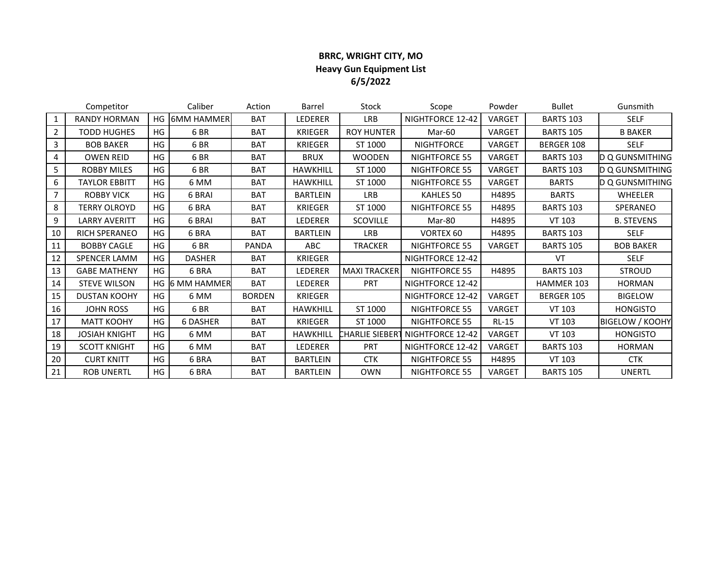### **BRRC, WRIGHT CITY, MO Heavy Gun Equipment List 6/5/2022**

|                | Competitor           |     | Caliber           | Action        | Barrel          | Stock                       | Scope             | Powder  | <b>Bullet</b>    | Gunsmith               |
|----------------|----------------------|-----|-------------------|---------------|-----------------|-----------------------------|-------------------|---------|------------------|------------------------|
| $\mathbf{1}$   | <b>RANDY HORMAN</b>  | HG. | <b>6MM HAMMER</b> | <b>BAT</b>    | LEDERER         | LRB                         | NIGHTFORCE 12-42  | VARGET  | <b>BARTS 103</b> | <b>SELF</b>            |
| $\overline{2}$ | <b>TODD HUGHES</b>   | HG  | 6 <sub>BR</sub>   | <b>BAT</b>    | <b>KRIEGER</b>  | <b>ROY HUNTER</b>           | Mar-60            | VARGET  | <b>BARTS 105</b> | <b>B BAKER</b>         |
| 3              | <b>BOB BAKER</b>     | HG  | 6BR               | <b>BAT</b>    | <b>KRIEGER</b>  | ST 1000                     | <b>NIGHTFORCE</b> | VARGET  | BERGER 108       | <b>SELF</b>            |
| 4              | <b>OWEN REID</b>     | HG  | 6 <sub>BR</sub>   | <b>BAT</b>    | <b>BRUX</b>     | <b>WOODEN</b>               | NIGHTFORCE 55     | VARGET  | <b>BARTS 103</b> | <b>D Q GUNSMITHING</b> |
| 5              | <b>ROBBY MILES</b>   | HG  | 6BR               | <b>BAT</b>    | <b>HAWKHILL</b> | ST 1000                     | NIGHTFORCE 55     | VARGET  | <b>BARTS 103</b> | ID Q GUNSMITHING       |
| 6              | <b>TAYLOR EBBITT</b> | HG  | 6 MM              | <b>BAT</b>    | <b>HAWKHILL</b> | ST 1000                     | NIGHTFORCE 55     | VARGET  | <b>BARTS</b>     | <b>D Q GUNSMITHING</b> |
|                | <b>ROBBY VICK</b>    | HG  | 6 BRAI            | <b>BAT</b>    | <b>BARTLEIN</b> | <b>LRB</b>                  | KAHLES 50         | H4895   | <b>BARTS</b>     | WHEELER                |
| 8              | <b>TERRY OLROYD</b>  | HG  | 6 BRA             | <b>BAT</b>    | <b>KRIEGER</b>  | ST 1000                     | NIGHTFORCE 55     | H4895   | <b>BARTS 103</b> | <b>SPERANEO</b>        |
| 9              | <b>LARRY AVERITT</b> | HG  | 6 BRAI            | <b>BAT</b>    | LEDERER         | <b>SCOVILLE</b>             | Mar-80            | H4895   | <b>VT 103</b>    | <b>B. STEVENS</b>      |
| 10             | RICH SPERANEO        | HG  | 6 BRA             | <b>BAT</b>    | <b>BARTLEIN</b> | LRB                         | <b>VORTEX 60</b>  | H4895   | <b>BARTS 103</b> | <b>SELF</b>            |
| 11             | <b>BOBBY CAGLE</b>   | HG  | 6 <sub>BR</sub>   | <b>PANDA</b>  | ABC             | <b>TRACKER</b>              | NIGHTFORCE 55     | VARGET  | <b>BARTS 105</b> | <b>BOB BAKER</b>       |
| 12             | <b>SPENCER LAMM</b>  | HG  | <b>DASHER</b>     | <b>BAT</b>    | <b>KRIEGER</b>  |                             | NIGHTFORCE 12-42  |         | VT               | <b>SELF</b>            |
| 13             | <b>GABE MATHENY</b>  | HG  | 6 BRA             | <b>BAT</b>    | LEDERER         | <b>MAXI TRACKER</b>         | NIGHTFORCE 55     | H4895   | <b>BARTS 103</b> | <b>STROUD</b>          |
| 14             | <b>STEVE WILSON</b>  |     | HG 6 MM HAMMER    | <b>BAT</b>    | LEDERER         | <b>PRT</b>                  | NIGHTFORCE 12-42  |         | HAMMER 103       | <b>HORMAN</b>          |
| 15             | <b>DUSTAN KOOHY</b>  | HG  | 6 MM              | <b>BORDEN</b> | <b>KRIEGER</b>  |                             | NIGHTFORCE 12-42  | VARGET  | BERGER 105       | <b>BIGELOW</b>         |
| 16             | <b>JOHN ROSS</b>     | HG  | 6 BR              | <b>BAT</b>    | <b>HAWKHILL</b> | ST 1000                     | NIGHTFORCE 55     | VARGET  | VT 103           | <b>HONGISTO</b>        |
| 17             | <b>MATT KOOHY</b>    | HG  | <b>6 DASHER</b>   | <b>BAT</b>    | <b>KRIEGER</b>  | ST 1000                     | NIGHTFORCE 55     | $RL-15$ | <b>VT 103</b>    | <b>BIGELOW / KOOHY</b> |
| 18             | <b>JOSIAH KNIGHT</b> | HG  | 6 MM              | <b>BAT</b>    | <b>HAWKHILL</b> | CHARLIE SIEBER <sup>-</sup> | NIGHTFORCE 12-42  | VARGET  | VT 103           | <b>HONGISTO</b>        |
| 19             | <b>SCOTT KNIGHT</b>  | HG  | 6 MM              | <b>BAT</b>    | LEDERER         | <b>PRT</b>                  | NIGHTFORCE 12-42  | VARGET  | <b>BARTS 103</b> | <b>HORMAN</b>          |
| 20             | <b>CURT KNITT</b>    | HG. | 6 BRA             | <b>BAT</b>    | <b>BARTLEIN</b> | <b>CTK</b>                  | NIGHTFORCE 55     | H4895   | VT 103           | <b>CTK</b>             |
| 21             | <b>ROB UNERTL</b>    | HG  | 6 BRA             | <b>BAT</b>    | <b>BARTLEIN</b> | <b>OWN</b>                  | NIGHTFORCE 55     | VARGET  | <b>BARTS 105</b> | UNERTL                 |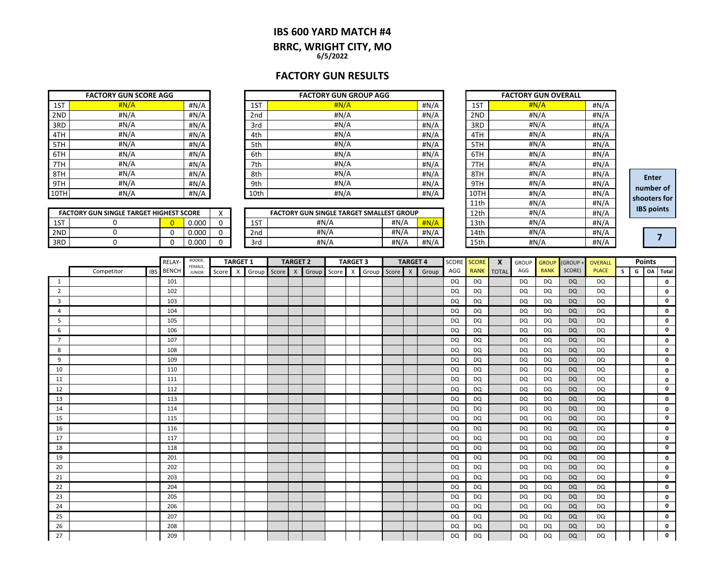#### **IBS 600 YARD MATCH #4 BRRC, WRIGHT CITY, MO 6/5/2022**

### **FACTORY GUN RESULTS**

| <b>FACTORY GUN SCORE AGG</b> |       |      |  |  |  |  |  |  |  |
|------------------------------|-------|------|--|--|--|--|--|--|--|
| 1ST                          | H N/A | #N/A |  |  |  |  |  |  |  |
| 2ND                          | #N/A  | #N/A |  |  |  |  |  |  |  |
| 3RD                          | #N/A  | #N/A |  |  |  |  |  |  |  |
| 4TH                          | #N/A  | #N/A |  |  |  |  |  |  |  |
| 5TH                          | #N/A  | #N/A |  |  |  |  |  |  |  |
| 6TH                          | #N/A  | #N/A |  |  |  |  |  |  |  |
| 7TH                          | #N/A  | #N/A |  |  |  |  |  |  |  |
| 8TH                          | #N/A  | #N/A |  |  |  |  |  |  |  |
| 9TH                          | #N/A  | #N/A |  |  |  |  |  |  |  |
| 10TH                         | #N/A  | #N/A |  |  |  |  |  |  |  |

|      | <b>FACTORY GUN SCORE AGG</b> |      |      | <b>FACTORY GUN GROUP AGG</b> |       |      | <b>FACTORY GUN OVERALL</b> |      |
|------|------------------------------|------|------|------------------------------|-------|------|----------------------------|------|
| 1ST  | H N/A                        | #N/A | 1ST  | H N/A                        | #N/A  | 1ST  | H N/A                      | #N/A |
| 2ND  | #N/A                         | #N/A | 2nd  | #N/A                         | H N/A | 2ND  | #N/A                       | #N/A |
| 3RD  | #N/A                         | #N/A | 3rd  | #N/A                         | #N/A  | 3RD  | #N/A                       | #N/A |
| 4TH  | #N/A                         | #N/A | 4th  | #N/A                         | #N/A  | 4TH  | #N/A                       | #N/A |
| 5TH  | #N/A                         | #N/A | 5th  | #N/A                         | #N/A  | 5TH  | #N/A                       | #N/A |
| 6TH  | #N/A                         | #N/A | 6th  | #N/A                         | #N/A  | 6TH  | #N/A                       | #N/A |
| 7TH  | #N/A                         | #N/A | 7th  | #N/A                         | #N/A  | 7TH  | #N/A                       | #N/A |
| 8TH  | #N/A                         | #N/A | 8th  | #N/A                         | #N/A  | 8TH  | #N/A                       | #N/A |
| 9TH  | #N/A                         | #N/A | 9th  | #N/A                         | H N/A | 9TH  | #N/A                       | #N/A |
| 10TH | #N/A                         | #N/A | 10th | #N/A                         | #N/A  | 10TH | #N/A                       | #N/A |

|     | <b>FACTORY GUN SINGLE TARGET HIGHEST SCORE</b> |       | $\lambda$ |              | FACTORY GUN SINGLE TARGET SMALLEST GROUP |      |         | 12th | #N/A | #N/A |
|-----|------------------------------------------------|-------|-----------|--------------|------------------------------------------|------|---------|------|------|------|
| 1ST |                                                | 0.000 |           | $\sim$<br>∸∸ | #N//                                     | #N/A | H N/A   | 13th | #N/A | #N/A |
| 2ND |                                                | 0.000 |           | 2nd          | #N/A                                     | #N/A | # $N/A$ | 14th | #N/A | #N/A |
| 3RD |                                                | 0.000 |           | 3rd          | #N/A                                     | #N/A | # $N/A$ | 15th | #N/A | #N// |

|      | <b>FACTORY GUN OVERALL</b> |      |
|------|----------------------------|------|
| 1ST  | H N/A                      | #N/A |
| 2ND  | #N/A                       | #N/A |
| 3RD  | #N/A                       | #N/A |
| 4TH  | #N/A                       | #N/A |
| 5TH  | #N/A                       | #N/A |
| 6TH  | #N/A                       | #N/A |
| 7TH  | #N/A                       | #N/A |
| 8TH  | #N/A                       | #N/A |
| 9TH  | #N/A                       | #N/A |
| 10TH | #N/A                       | #N/A |
| 11th | #N/A                       | #N/A |
| 12th | #N/A                       | #N/A |
| 13th | #N/A                       | #N/A |
| 14th | #N/A                       | #N/A |
| 15th | #N/A                       | #N/A |

**Enter number of shooters for IBS points**

**7**

┑

|     | <b>FACTORY GUN SINGLE TARGET HIGHEST SCORE</b> |       |  |
|-----|------------------------------------------------|-------|--|
| 1ST |                                                | 0.000 |  |
| 2ND |                                                | 0.000 |  |
| 3RD |                                                | n nnn |  |

|                |            | RELAY-           | ROOKIE,<br>FEMALE, |       | <b>TARGET 1</b> |       |       | <b>TARGET 2</b> |       |       | <b>TARGET 3</b> |             | <b>TARGET 4</b> |              | SCORE SCORE |           | $\mathbf{x}$ | <b>GROUP</b> | <b>GROUP</b> | (GROUP+     | OVERALL   |              |    | <b>Points</b> |    |             |
|----------------|------------|------------------|--------------------|-------|-----------------|-------|-------|-----------------|-------|-------|-----------------|-------------|-----------------|--------------|-------------|-----------|--------------|--------------|--------------|-------------|-----------|--------------|----|---------------|----|-------------|
|                | Competitor | <b>IBS</b> BENCH | <b>JUNIOR</b>      | Score | $\mathsf{X}$    | Group | Score | $\mathsf{X}$    | Group | Score | $\mathsf{X}$    | Group Score |                 | $\mathsf{x}$ | Group       | AGG       | <b>RANK</b>  | <b>TOTAL</b> | AGG          | <b>RANK</b> | SCORE)    | <b>PLACE</b> | s. | G             | OA | Total       |
| 1              |            | 101              |                    |       |                 |       |       |                 |       |       |                 |             |                 |              |             | DQ        | DQ           |              | DQ           | <b>DQ</b>   | <b>DQ</b> | DQ           |    |               |    | 0           |
| $\overline{2}$ |            | 102              |                    |       |                 |       |       |                 |       |       |                 |             |                 |              |             | DQ        | DQ           |              | DQ           | DQ          | <b>DQ</b> | DQ           |    |               |    | 0           |
| 3              |            | 103              |                    |       |                 |       |       |                 |       |       |                 |             |                 |              |             | <b>DQ</b> | <b>DQ</b>    |              | DQ           | <b>DQ</b>   | <b>DQ</b> | DQ           |    |               |    | $\mathbf 0$ |
| 4              |            | 104              |                    |       |                 |       |       |                 |       |       |                 |             |                 |              |             | DQ        | DQ           |              | DQ           | <b>DQ</b>   | <b>DQ</b> | DQ           |    |               |    | 0           |
| 5              |            | 105              |                    |       |                 |       |       |                 |       |       |                 |             |                 |              |             | <b>DQ</b> | DQ           |              | DQ           | DQ          | <b>DQ</b> | DQ           |    |               |    | 0           |
| 6              |            | 106              |                    |       |                 |       |       |                 |       |       |                 |             |                 |              |             | DQ        | <b>DQ</b>    |              | <b>DQ</b>    | <b>DQ</b>   | <b>DQ</b> | DQ           |    |               |    | 0           |
| $\overline{7}$ |            | 107              |                    |       |                 |       |       |                 |       |       |                 |             |                 |              |             | DQ        | DQ           |              | DQ           | <b>DQ</b>   | <b>DQ</b> | DQ           |    |               |    | 0           |
| 8              |            | 108              |                    |       |                 |       |       |                 |       |       |                 |             |                 |              |             | DQ        | DQ           |              | DQ           | <b>DQ</b>   | <b>DQ</b> | DQ           |    |               |    | 0           |
| 9              |            | 109              |                    |       |                 |       |       |                 |       |       |                 |             |                 |              |             | DQ        | <b>DQ</b>    |              | DQ           | <b>DQ</b>   | <b>DQ</b> | DQ           |    |               |    | 0           |
| 10             |            | 110              |                    |       |                 |       |       |                 |       |       |                 |             |                 |              |             | DQ        | <b>DQ</b>    |              | DQ           | <b>DQ</b>   | <b>DQ</b> | DQ           |    |               |    | 0           |
| 11             |            | 111              |                    |       |                 |       |       |                 |       |       |                 |             |                 |              |             | DQ        | <b>DQ</b>    |              | <b>DQ</b>    | DQ          | <b>DQ</b> | DQ           |    |               |    | 0           |
| 12             |            | 112              |                    |       |                 |       |       |                 |       |       |                 |             |                 |              |             | <b>DQ</b> | <b>DQ</b>    |              | <b>DQ</b>    | <b>DQ</b>   | <b>DQ</b> | <b>DQ</b>    |    |               |    | 0           |
| 13             |            | 113              |                    |       |                 |       |       |                 |       |       |                 |             |                 |              |             | DQ        | DQ           |              | DQ           | <b>DQ</b>   | <b>DQ</b> | DQ           |    |               |    | 0           |
| 14             |            | 114              |                    |       |                 |       |       |                 |       |       |                 |             |                 |              |             | DQ        | DQ           |              | DQ           | <b>DQ</b>   | <b>DQ</b> | DQ           |    |               |    | 0           |
| 15             |            | 115              |                    |       |                 |       |       |                 |       |       |                 |             |                 |              |             | DQ        | DQ           |              | DQ           | DQ          | <b>DQ</b> | DQ           |    |               |    | $\mathbf 0$ |
| 16             |            | 116              |                    |       |                 |       |       |                 |       |       |                 |             |                 |              |             | DQ        | DQ           |              | DQ           | DQ          | <b>DQ</b> | DQ           |    |               |    | 0           |
| 17             |            | 117              |                    |       |                 |       |       |                 |       |       |                 |             |                 |              |             | DQ        | <b>DQ</b>    |              | DQ           | <b>DQ</b>   | <b>DQ</b> | DQ           |    |               |    | 0           |
| 18             |            | 118              |                    |       |                 |       |       |                 |       |       |                 |             |                 |              |             | DQ        | <b>DQ</b>    |              | DQ           | <b>DQ</b>   | <b>DQ</b> | DQ           |    |               |    | 0           |
| 19             |            | 201              |                    |       |                 |       |       |                 |       |       |                 |             |                 |              |             | DQ        | DQ           |              | DQ           | <b>DQ</b>   | <b>DQ</b> | DQ           |    |               |    | 0           |
| 20             |            | 202              |                    |       |                 |       |       |                 |       |       |                 |             |                 |              |             | DQ        | <b>DQ</b>    |              | <b>DQ</b>    | DQ          | <b>DQ</b> | <b>DQ</b>    |    |               |    | 0           |
| 21             |            | 203              |                    |       |                 |       |       |                 |       |       |                 |             |                 |              |             | <b>DQ</b> | <b>DQ</b>    |              | <b>DQ</b>    | <b>DQ</b>   | <b>DQ</b> | DQ           |    |               |    | 0           |
| 22             |            | 204              |                    |       |                 |       |       |                 |       |       |                 |             |                 |              |             | DQ        | DQ           |              | DQ           | <b>DQ</b>   | <b>DQ</b> | DQ           |    |               |    | 0           |
| 23             |            | 205              |                    |       |                 |       |       |                 |       |       |                 |             |                 |              |             | DQ        | DQ           |              | DQ           | DQ          | <b>DQ</b> | DQ           |    |               |    | 0           |
| 24             |            | 206              |                    |       |                 |       |       |                 |       |       |                 |             |                 |              |             | DQ        | DQ           |              | DQ           | <b>DQ</b>   | <b>DQ</b> | DQ           |    |               |    | 0           |
| 25             |            | 207              |                    |       |                 |       |       |                 |       |       |                 |             |                 |              |             | DQ        | DQ           |              | DQ           | DQ          | <b>DQ</b> | DQ           |    |               |    | 0           |
| 26             |            | 208              |                    |       |                 |       |       |                 |       |       |                 |             |                 |              |             | DQ        | DQ           |              | DQ           | <b>DQ</b>   | <b>DQ</b> | DQ           |    |               |    | $\mathbf 0$ |
| 27             |            | 209              |                    |       |                 |       |       |                 |       |       |                 |             |                 |              |             | <b>DQ</b> | DQ           |              | DQ           | <b>DQ</b>   | <b>DQ</b> | <b>DQ</b>    |    |               |    | 0           |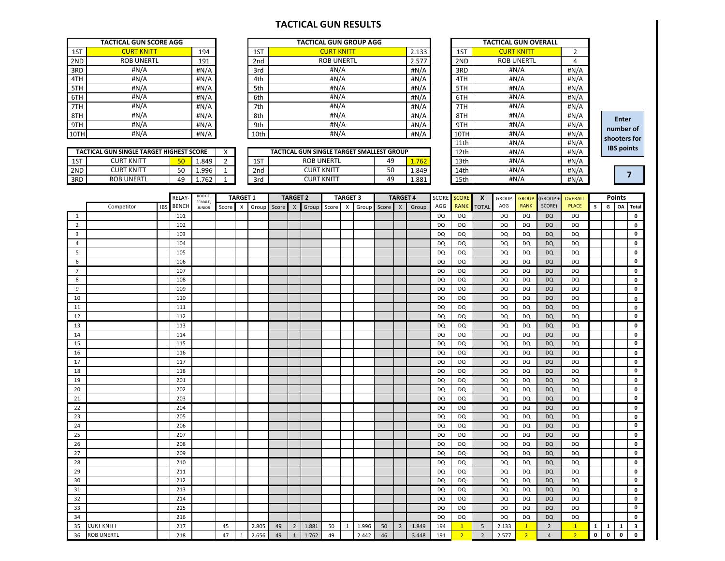#### **TACTICAL GUN RESULTS**

| <b>TACTICAL GUN SCORE AGG</b> |                   |      |  |  |  |  |  |  |
|-------------------------------|-------------------|------|--|--|--|--|--|--|
| 1ST                           | <b>CURT KNITT</b> | 194  |  |  |  |  |  |  |
| 2ND                           | <b>ROB UNERTL</b> | 191  |  |  |  |  |  |  |
| 3RD                           | #N/A              | #N/A |  |  |  |  |  |  |
| 4TH                           | #N/A              | #N/A |  |  |  |  |  |  |
| 5TH                           | #N/A              | #N/A |  |  |  |  |  |  |
| 6TH                           | #N/A              | #N/A |  |  |  |  |  |  |
| 7TH                           | #N/A              | #N/A |  |  |  |  |  |  |
| 8TH                           | #N/A              | #N/A |  |  |  |  |  |  |
| 9TH                           | #N/A              | #N/A |  |  |  |  |  |  |
| 10TH                          | #N/A              | #N/A |  |  |  |  |  |  |

|      | <b>TACTICAL GUN SCORE AGG</b> |      |      | <b>TACTICAL GUN GROUP AGG</b> |       |                       | <b>TACTICAL GUN OVERALL</b>  |          |
|------|-------------------------------|------|------|-------------------------------|-------|-----------------------|------------------------------|----------|
| 1ST  | <b>CURT KNITT</b>             | 194  | 1ST  | <b>CURT KNITT</b>             | 2.133 | 1ST                   | <b>CURT KNITT</b>            |          |
| 2ND  | <b>ROB UNERTL</b>             | 191  | 2nd  | <b>ROB UNERTL</b>             | 2.577 | 2ND                   | <b>ROB UNERTL</b>            | 4        |
| 3RD  | #N/A                          | #N/A | 3rd  | #N/A                          | #N/A  | 3RD                   | #N/A                         | #N/A     |
| 4TH  | #N/A                          | #N/A | 4th  | #N/A                          | #N/A  | 4TH                   | #N/A                         | #N/A     |
| 5TH  | #N/A                          | #N/A | 5th  | #N/A                          | #N/A  | 5TH                   | #N/A                         | #N/A     |
| 6TH  | #N/A                          | #N/A | 6th  | #N/A                          | #N/A  | 6TH                   | H N/A                        | #N/A     |
| 7TH  | # $N/A$                       | #N/A | 7th  | #N/A                          | #N/A  | 7TH                   | #N/A                         | #N/A     |
| 8TH  | #N/A                          | #N/A | 8th  | #N/A                          | #N/A  | 8TH                   | #N/A                         | #N/A     |
| 9TH  | #N/A                          | #N/A | 9th  | #N/A                          | #N/A  | 9TH                   | #N/A                         | #N/A     |
| 10TH | #N/A                          | #N/A | 10th | #N/A                          | #N/A  | 10TH                  | #N/A                         | #N/A     |
|      |                               |      |      |                               |       | $A$ , $A$ , $B$ , $B$ | $\mathbf{u}$ ni $\mathbf{v}$ | $\cdots$ |

| <b>TACTICAL GUN OVERALL</b> |                   |                |  |  |  |  |  |  |
|-----------------------------|-------------------|----------------|--|--|--|--|--|--|
| 1ST                         | <b>CURT KNITT</b> | $\overline{2}$ |  |  |  |  |  |  |
| 2ND                         | <b>ROB UNERTL</b> | 4              |  |  |  |  |  |  |
| 3RD                         | #N/A              | #N/A           |  |  |  |  |  |  |
| 4TH                         | #N/A              | #N/A           |  |  |  |  |  |  |
| 5TH                         | #N/A              | #N/A           |  |  |  |  |  |  |
| 6TH                         | #N/A              | #N/A           |  |  |  |  |  |  |
| 7TH                         | #N/A              | #N/A           |  |  |  |  |  |  |
| 8TH                         | #N/A              | #N/A           |  |  |  |  |  |  |
| 9TH                         | #N/A              | #N/A           |  |  |  |  |  |  |
| 10TH                        | #N/A              | #N/A           |  |  |  |  |  |  |
| 11th                        | #N/A              | #N/A           |  |  |  |  |  |  |
| 12th                        | #N/A              | #N/A           |  |  |  |  |  |  |
| 13th                        | #N/A              | #N/A           |  |  |  |  |  |  |
| 14th                        | #N/A              | #N/A           |  |  |  |  |  |  |
| 15th                        | #N/A              | #N/A           |  |  |  |  |  |  |

**Enter number of shooters for IBS points**

**7**

|     | <b>TACTICAL GUN SINGLE TARGET HIGHEST SCORE</b> |    |       | $\cdot$ |     | TACTICAL GUN SINGLE TARGET SMALLEST GROUP |    |            | 12th             | #N/A | #N/A |
|-----|-------------------------------------------------|----|-------|---------|-----|-------------------------------------------|----|------------|------------------|------|------|
| 1ST | CURT KNITT                                      | υc | 849.ء |         | 1ST | <b>ROB UNERTL</b>                         | 49 | 761<br>'uz | 13 <sub>th</sub> | #N/A | #N/A |
| 2ND | CURT KNITT                                      | 50 | 1.996 |         | 2nd | CURT KNITT                                | 50 | 1.849      | 14th             | #N/A | #N/A |
| 3RD | <b>ROB UNERTL</b>                               | 49 | 1.762 |         | 3rd | CURT KNITT                                | 49 | 1.881      | 15th             | #N/A | #N/A |
|     |                                                 |    |       |         |     |                                           |    |            |                  |      |      |
|     |                                                 |    |       |         |     |                                           |    |            |                  |      |      |

| v<br>Λ        |                 | TACTICAL GUN SINGLE TARGET SMALLEST GROUP |    |       | 12th | #N/A | #N/A |
|---------------|-----------------|-------------------------------------------|----|-------|------|------|------|
| ~<br><u>.</u> | 1ST             | <b>ROB UNERTL</b>                         | 49 | 762.  | 13th | #N/A | #N/A |
| ۰             | 2 <sub>nd</sub> | CURT KNITT                                | 50 | 1.849 | 14th | #N/A | #N/A |
| . .           | 3rd             | CURT KNITT                                | 49 | 1.881 | 15th | #N/A | #N/A |

|                |                   |            | RELAY-       | ROOKIE,<br>FEMALE, |       | <b>TARGET 1</b> |             |    | <b>TARGET 2</b> |       |       | <b>TARGET 3</b> |               |    | <b>TARGET 4</b> |       | SCORE     | <b>SCORE</b>   | $\boldsymbol{\mathsf{x}}$ | <b>GROUP</b> | <b>GROUP</b> | (GROUP+        | <b>OVERALL</b> |              |   | <b>Points</b> |                         |
|----------------|-------------------|------------|--------------|--------------------|-------|-----------------|-------------|----|-----------------|-------|-------|-----------------|---------------|----|-----------------|-------|-----------|----------------|---------------------------|--------------|--------------|----------------|----------------|--------------|---|---------------|-------------------------|
|                | Competitor        | <b>IBS</b> | <b>BENCH</b> | <b>JUNIOR</b>      | Score | X               | Group Score |    | $\mathsf{x}$    | Group | Score |                 | X Group Score |    | $\times$        | Group | AGG       | <b>RANK</b>    | <b>TOTAL</b>              | AGG          | <b>RANK</b>  | SCORE)         | <b>PLACE</b>   | s.           | G | OA            | Total                   |
| 1              |                   |            | 101          |                    |       |                 |             |    |                 |       |       |                 |               |    |                 |       | DQ        | DQ             |                           | <b>DQ</b>    | DQ           | <b>DQ</b>      | DQ             |              |   |               | $\pmb{0}$               |
| $\overline{2}$ |                   |            | 102          |                    |       |                 |             |    |                 |       |       |                 |               |    |                 |       | DQ        | DQ             |                           | <b>DQ</b>    | DQ           | <b>DQ</b>      | <b>DQ</b>      |              |   |               | $\mathbf 0$             |
| 3              |                   |            | 103          |                    |       |                 |             |    |                 |       |       |                 |               |    |                 |       | <b>DQ</b> | <b>DQ</b>      |                           | <b>DQ</b>    | <b>DQ</b>    | <b>DQ</b>      | <b>DQ</b>      |              |   |               | 0                       |
| 4              |                   |            | 104          |                    |       |                 |             |    |                 |       |       |                 |               |    |                 |       | <b>DQ</b> | DQ             |                           | <b>DQ</b>    | <b>DQ</b>    | <b>DQ</b>      | <b>DQ</b>      |              |   |               | $\pmb{\mathsf{o}}$      |
| 5              |                   |            | 105          |                    |       |                 |             |    |                 |       |       |                 |               |    |                 |       | DQ        | DQ             |                           | DQ           | <b>DQ</b>    | <b>DQ</b>      | <b>DQ</b>      |              |   |               | $\pmb{0}$               |
| 6              |                   |            | 106          |                    |       |                 |             |    |                 |       |       |                 |               |    |                 |       | <b>DQ</b> | <b>DQ</b>      |                           | DQ           | <b>DQ</b>    | <b>DQ</b>      | <b>DQ</b>      |              |   |               | 0                       |
| $\overline{7}$ |                   |            | 107          |                    |       |                 |             |    |                 |       |       |                 |               |    |                 |       | DQ        | DQ             |                           | DQ           | DQ           | <b>DQ</b>      | DQ             |              |   |               | $\pmb{\mathsf{o}}$      |
| 8              |                   |            | 108          |                    |       |                 |             |    |                 |       |       |                 |               |    |                 |       | DQ        | DQ             |                           | DQ           | DQ           | <b>DQ</b>      | DQ             |              |   |               | $\pmb{0}$               |
| 9              |                   |            | 109          |                    |       |                 |             |    |                 |       |       |                 |               |    |                 |       | DQ        | DQ             |                           | DQ           | <b>DQ</b>    | <b>DQ</b>      | <b>DQ</b>      |              |   |               | $\pmb{0}$               |
| 10             |                   |            | 110          |                    |       |                 |             |    |                 |       |       |                 |               |    |                 |       | DQ        | DQ             |                           | DQ           | <b>DQ</b>    | <b>DQ</b>      | DQ             |              |   |               | $\pmb{\mathsf{o}}$      |
| 11             |                   |            | 111          |                    |       |                 |             |    |                 |       |       |                 |               |    |                 |       | DQ        | DQ             |                           | DQ           | DQ           | <b>DQ</b>      | <b>DQ</b>      |              |   |               | $\pmb{0}$               |
| 12             |                   |            | 112          |                    |       |                 |             |    |                 |       |       |                 |               |    |                 |       | DQ        | <b>DQ</b>      |                           | DQ           | DQ           | <b>DQ</b>      | DQ             |              |   |               | 0                       |
| 13             |                   |            | 113          |                    |       |                 |             |    |                 |       |       |                 |               |    |                 |       | DQ        | DQ             |                           | DQ           | DQ           | <b>DQ</b>      | DQ             |              |   |               | $\pmb{0}$               |
| 14             |                   |            | 114          |                    |       |                 |             |    |                 |       |       |                 |               |    |                 |       | DQ        | DQ             |                           | <b>DQ</b>    | DQ           | <b>DQ</b>      | <b>DQ</b>      |              |   |               | $\mathbf 0$             |
| 15             |                   |            | 115          |                    |       |                 |             |    |                 |       |       |                 |               |    |                 |       | <b>DQ</b> | DQ             |                           | DQ           | <b>DQ</b>    | <b>DQ</b>      | DQ             |              |   |               | $\pmb{\mathsf{o}}$      |
| 16             |                   |            | 116          |                    |       |                 |             |    |                 |       |       |                 |               |    |                 |       | <b>DQ</b> | DQ             |                           | <b>DQ</b>    | <b>DQ</b>    | <b>DQ</b>      | <b>DQ</b>      |              |   |               | $\mathbf 0$             |
| 17             |                   |            | 117          |                    |       |                 |             |    |                 |       |       |                 |               |    |                 |       | <b>DQ</b> | <b>DQ</b>      |                           | DQ           | <b>DQ</b>    | <b>DQ</b>      | <b>DQ</b>      |              |   |               | $\mathbf 0$             |
| 18             |                   |            | 118          |                    |       |                 |             |    |                 |       |       |                 |               |    |                 |       | <b>DQ</b> | <b>DQ</b>      |                           | <b>DQ</b>    | <b>DQ</b>    | <b>DQ</b>      | <b>DQ</b>      |              |   |               | $\pmb{0}$               |
| 19             |                   |            | 201          |                    |       |                 |             |    |                 |       |       |                 |               |    |                 |       | <b>DQ</b> | DQ             |                           | <b>DQ</b>    | <b>DQ</b>    | <b>DQ</b>      | <b>DQ</b>      |              |   |               | 0                       |
| 20             |                   |            | 202          |                    |       |                 |             |    |                 |       |       |                 |               |    |                 |       | DQ        | DQ             |                           | DQ           | DQ           | <b>DQ</b>      | <b>DQ</b>      |              |   |               | 0                       |
| 21             |                   |            | 203          |                    |       |                 |             |    |                 |       |       |                 |               |    |                 |       | DQ        | <b>DQ</b>      |                           | <b>DQ</b>    | <b>DQ</b>    | <b>DQ</b>      | <b>DQ</b>      |              |   |               | $\mathbf{o}$            |
| 22             |                   |            | 204          |                    |       |                 |             |    |                 |       |       |                 |               |    |                 |       | DQ        | DQ             |                           | <b>DQ</b>    | <b>DQ</b>    | <b>DQ</b>      | <b>DQ</b>      |              |   |               | $\pmb{0}$               |
| 23             |                   |            | 205          |                    |       |                 |             |    |                 |       |       |                 |               |    |                 |       | <b>DQ</b> | DQ             |                           | DQ           | <b>DQ</b>    | <b>DQ</b>      | DQ             |              |   |               | $\pmb{0}$               |
| 24             |                   |            | 206          |                    |       |                 |             |    |                 |       |       |                 |               |    |                 |       | DQ        | <b>DQ</b>      |                           | DQ           | DQ           | <b>DQ</b>      | DQ             |              |   |               | 0                       |
| 25             |                   |            | 207          |                    |       |                 |             |    |                 |       |       |                 |               |    |                 |       | DQ        | DQ             |                           | DQ           | <b>DQ</b>    | <b>DQ</b>      | DQ             |              |   |               | $\pmb{0}$               |
| 26             |                   |            | 208          |                    |       |                 |             |    |                 |       |       |                 |               |    |                 |       | <b>DQ</b> | <b>DQ</b>      |                           | DQ           | <b>DQ</b>    | <b>DQ</b>      | DQ             |              |   |               | 0                       |
| 27             |                   |            | 209          |                    |       |                 |             |    |                 |       |       |                 |               |    |                 |       | DQ        | DQ             |                           | DQ           | DQ           | <b>DQ</b>      | DQ             |              |   |               | 0                       |
| 28             |                   |            | 210          |                    |       |                 |             |    |                 |       |       |                 |               |    |                 |       | DQ        | DQ             |                           | DQ           | DQ           | <b>DQ</b>      | DQ             |              |   |               | 0                       |
| 29             |                   |            | 211          |                    |       |                 |             |    |                 |       |       |                 |               |    |                 |       | DQ        | DQ             |                           | DQ           | DQ           | <b>DQ</b>      | DQ             |              |   |               | 0                       |
| 30             |                   |            | 212          |                    |       |                 |             |    |                 |       |       |                 |               |    |                 |       | <b>DQ</b> | DQ             |                           | <b>DQ</b>    | DQ           | <b>DQ</b>      | <b>DQ</b>      |              |   |               | 0                       |
| 31             |                   |            | 213          |                    |       |                 |             |    |                 |       |       |                 |               |    |                 |       | <b>DQ</b> | DQ             |                           | <b>DQ</b>    | DQ           | <b>DQ</b>      | DQ             |              |   |               | $\mathbf 0$             |
| 32             |                   |            | 214          |                    |       |                 |             |    |                 |       |       |                 |               |    |                 |       | <b>DQ</b> | DQ             |                           | <b>DQ</b>    | <b>DQ</b>    | <b>DQ</b>      | DQ             |              |   |               | $\mathbf 0$             |
| 33             |                   |            | 215          |                    |       |                 |             |    |                 |       |       |                 |               |    |                 |       | <b>DQ</b> | DQ             |                           | DQ           | <b>DQ</b>    | <b>DQ</b>      | <b>DQ</b>      |              |   |               | $\mathbf 0$             |
| 34             |                   |            | 216          |                    |       |                 |             |    |                 |       |       |                 |               |    |                 |       | DQ        | DQ             |                           | <b>DQ</b>    | DQ           | <b>DQ</b>      | DQ             |              |   |               | $\mathbf{o}$            |
| 35             | <b>CURT KNITT</b> |            | 217          |                    | 45    |                 | 2.805       | 49 | $\overline{2}$  | 1.881 | 50    | 1               | 1.996         | 50 | $\overline{2}$  | 1.849 | 194       | $\mathbf{1}$   | 5                         | 2.133        | $\mathbf{1}$ | $\overline{2}$ | $\mathbf{1}$   | $\mathbf{1}$ | 1 | 1             | $\overline{\mathbf{3}}$ |
| 36             | <b>ROB UNERTL</b> |            | 218          |                    | 47    | $\mathbf{1}$    | 2.656       | 49 | $\mathbf{1}$    | 1.762 | 49    |                 | 2.442         | 46 |                 | 3.448 | 191       | 2 <sup>2</sup> | $\overline{2}$            | 2.577        | 2            | $\overline{4}$ | $\overline{2}$ | $\mathbf 0$  | 0 | 0             | 0                       |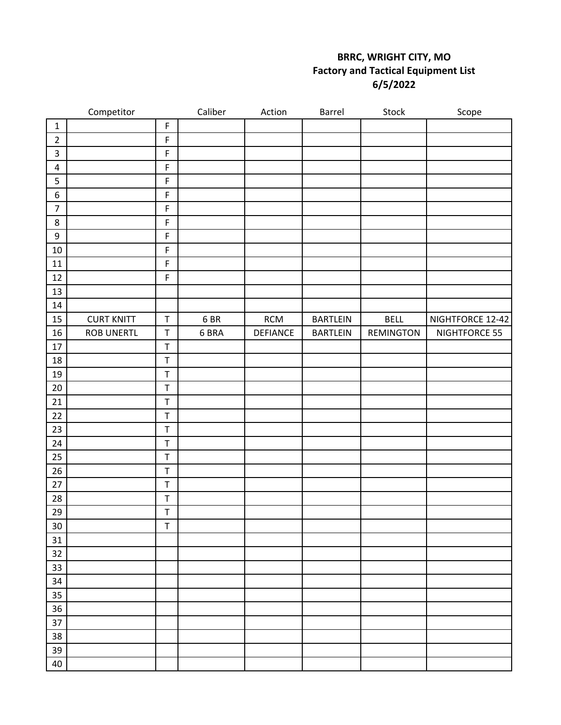## **BRRC, WRIGHT CITY, MO Factory and Tactical Equipment List 6/5/2022**

|                  | Competitor        |             | Caliber | Action          | Barrel          | Stock       | Scope            |
|------------------|-------------------|-------------|---------|-----------------|-----------------|-------------|------------------|
| $\mathbf 1$      |                   | $\mathsf F$ |         |                 |                 |             |                  |
| $\mathbf 2$      |                   | $\mathsf F$ |         |                 |                 |             |                  |
| $\mathsf{3}$     |                   | $\mathsf F$ |         |                 |                 |             |                  |
| $\pmb{4}$        |                   | F           |         |                 |                 |             |                  |
| 5                |                   | $\mathsf F$ |         |                 |                 |             |                  |
| $\boldsymbol{6}$ |                   | $\mathsf F$ |         |                 |                 |             |                  |
| $\overline{7}$   |                   | $\mathsf F$ |         |                 |                 |             |                  |
| $\bf 8$          |                   | F           |         |                 |                 |             |                  |
| $\boldsymbol{9}$ |                   | $\mathsf F$ |         |                 |                 |             |                  |
| 10               |                   | F           |         |                 |                 |             |                  |
| 11               |                   | $\mathsf F$ |         |                 |                 |             |                  |
| 12               |                   | F           |         |                 |                 |             |                  |
| 13               |                   |             |         |                 |                 |             |                  |
| 14               |                   |             |         |                 |                 |             |                  |
| 15               | <b>CURT KNITT</b> | $\mathsf T$ | 6 BR    | $\mathsf{RCM}$  | <b>BARTLEIN</b> | <b>BELL</b> | NIGHTFORCE 12-42 |
| 16               | <b>ROB UNERTL</b> | $\mathsf T$ | 6 BRA   | <b>DEFIANCE</b> | <b>BARTLEIN</b> | REMINGTON   | NIGHTFORCE 55    |
| $17\,$           |                   | $\mathsf T$ |         |                 |                 |             |                  |
| 18               |                   | $\top$      |         |                 |                 |             |                  |
| 19               |                   | $\top$      |         |                 |                 |             |                  |
| 20               |                   | $\mathsf T$ |         |                 |                 |             |                  |
| 21               |                   | $\mathsf T$ |         |                 |                 |             |                  |
| 22               |                   | $\top$      |         |                 |                 |             |                  |
| 23               |                   | $\mathsf T$ |         |                 |                 |             |                  |
| 24               |                   | $\mathsf T$ |         |                 |                 |             |                  |
| 25               |                   | $\top$      |         |                 |                 |             |                  |
| 26               |                   | $\sf T$     |         |                 |                 |             |                  |
| 27               |                   | $\top$      |         |                 |                 |             |                  |
| 28               |                   | $\sf T$     |         |                 |                 |             |                  |
| 29               |                   | $\mathsf T$ |         |                 |                 |             |                  |
| 30               |                   | $\mathsf T$ |         |                 |                 |             |                  |
| 31               |                   |             |         |                 |                 |             |                  |
| 32               |                   |             |         |                 |                 |             |                  |
| 33               |                   |             |         |                 |                 |             |                  |
| 34               |                   |             |         |                 |                 |             |                  |
| 35               |                   |             |         |                 |                 |             |                  |
| 36               |                   |             |         |                 |                 |             |                  |
| 37               |                   |             |         |                 |                 |             |                  |
| 38               |                   |             |         |                 |                 |             |                  |
| 39               |                   |             |         |                 |                 |             |                  |
| 40               |                   |             |         |                 |                 |             |                  |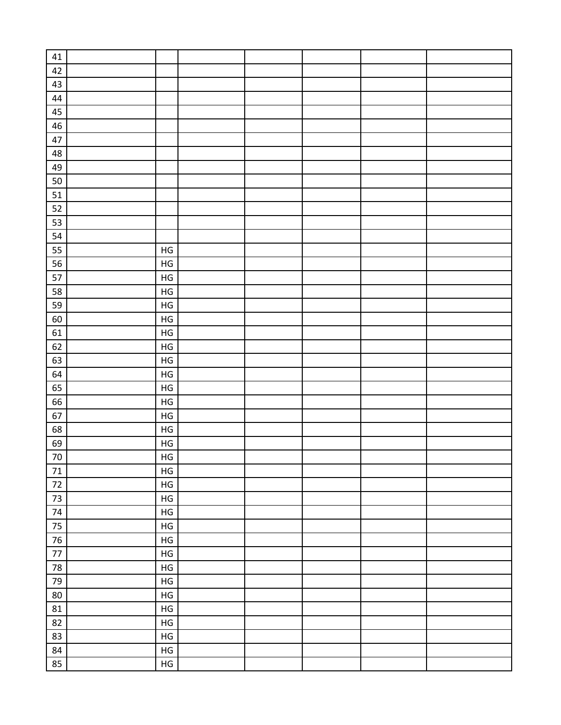| 41         |               |  |  |  |
|------------|---------------|--|--|--|
| 42         |               |  |  |  |
| 43         |               |  |  |  |
| 44         |               |  |  |  |
| 45         |               |  |  |  |
| 46         |               |  |  |  |
| 47         |               |  |  |  |
| 48         |               |  |  |  |
| 49         |               |  |  |  |
| 50         |               |  |  |  |
| $51\,$     |               |  |  |  |
| 52         |               |  |  |  |
| 53         |               |  |  |  |
| 54         |               |  |  |  |
| 55         | $\mathsf{HG}$ |  |  |  |
| 56         | $\mathsf{HG}$ |  |  |  |
| 57         | $\mathsf{HG}$ |  |  |  |
| 58         | $\mathsf{HG}$ |  |  |  |
| 59         | $\mathsf{HG}$ |  |  |  |
| 60         | $\mathsf{HG}$ |  |  |  |
| 61         | $\mathsf{HG}$ |  |  |  |
| 62         | $\mathsf{HG}$ |  |  |  |
| 63         | $\mathsf{HG}$ |  |  |  |
| 64         | ${\sf HG}$    |  |  |  |
| 65         | ${\sf HG}$    |  |  |  |
| 66         | $\mathsf{HG}$ |  |  |  |
| 67         | $\mathsf{HG}$ |  |  |  |
| 68         | ${\sf HG}$    |  |  |  |
| 69         | $\mathsf{HG}$ |  |  |  |
| $70\,$     | $\mathsf{HG}$ |  |  |  |
| $71\,$     | ${\sf HG}$    |  |  |  |
| $72\,$     | $\mathsf{HG}$ |  |  |  |
| $73\,$     | $\mathsf{HG}$ |  |  |  |
| $74\,$     | $\mathsf{HG}$ |  |  |  |
| 75         | $\mathsf{HG}$ |  |  |  |
| $76\,$     | $\mathsf{HG}$ |  |  |  |
| $77\,$     | $\mathsf{HG}$ |  |  |  |
| ${\bf 78}$ | $\mathsf{HG}$ |  |  |  |
| 79         | $\mathsf{HG}$ |  |  |  |
| 80         | ${\sf HG}$    |  |  |  |
| ${\bf 81}$ | ${\sf HG}$    |  |  |  |
| 82         | ${\sf HG}$    |  |  |  |
| 83         | ${\sf HG}$    |  |  |  |
| 84         | ${\sf HG}$    |  |  |  |
| 85         | ${\sf HG}$    |  |  |  |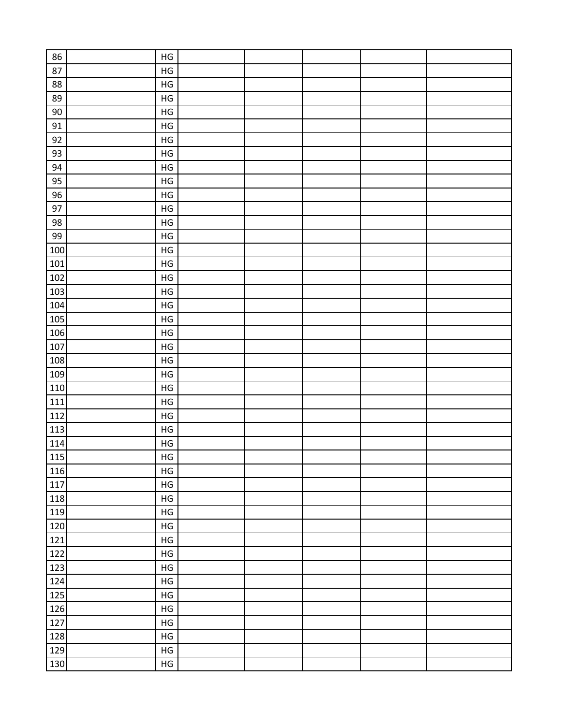| 86     |               |  |  |  |
|--------|---------------|--|--|--|
|        | $\mathsf{HG}$ |  |  |  |
| 87     | $\mathsf{HG}$ |  |  |  |
| 88     | $\mathsf{HG}$ |  |  |  |
| 89     | $\mathsf{HG}$ |  |  |  |
| $90\,$ | $\mathsf{HG}$ |  |  |  |
| 91     | $\mathsf{HG}$ |  |  |  |
| 92     | $\mathsf{HG}$ |  |  |  |
| 93     | $\mathsf{HG}$ |  |  |  |
| 94     | $\mathsf{HG}$ |  |  |  |
| 95     | $\mathsf{HG}$ |  |  |  |
| 96     | $\mathsf{HG}$ |  |  |  |
| 97     | $\mathsf{HG}$ |  |  |  |
| 98     | $\mathsf{HG}$ |  |  |  |
| 99     | $\mathsf{HG}$ |  |  |  |
| 100    | $\mathsf{HG}$ |  |  |  |
| 101    | $\mathsf{HG}$ |  |  |  |
| 102    | $\mathsf{HG}$ |  |  |  |
| 103    | $\mathsf{HG}$ |  |  |  |
| 104    | $\mathsf{HG}$ |  |  |  |
| 105    | $\mathsf{HG}$ |  |  |  |
| 106    | $\mathsf{HG}$ |  |  |  |
| 107    | $\mathsf{HG}$ |  |  |  |
| 108    | $\mathsf{HG}$ |  |  |  |
| 109    | $\mathsf{HG}$ |  |  |  |
| 110    | $\mathsf{HG}$ |  |  |  |
| 111    | $\mathsf{HG}$ |  |  |  |
| 112    | $\mathsf{HG}$ |  |  |  |
| 113    | $\mathsf{HG}$ |  |  |  |
| 114    | $\mathsf{HG}$ |  |  |  |
| 115    | HG            |  |  |  |
| 116    | $\mathsf{HG}$ |  |  |  |
| 117    | $\mathsf{HG}$ |  |  |  |
| 118    | $\mathsf{HG}$ |  |  |  |
| 119    | $\mathsf{HG}$ |  |  |  |
| 120    | $\mathsf{HG}$ |  |  |  |
| 121    | $\mathsf{HG}$ |  |  |  |
| 122    | $\mathsf{HG}$ |  |  |  |
| 123    | $\mathsf{HG}$ |  |  |  |
|        | $\mathsf{HG}$ |  |  |  |
| 124    |               |  |  |  |
| 125    | $\mathsf{HG}$ |  |  |  |
| 126    | $\mathsf{HG}$ |  |  |  |
| 127    | $\mathsf{HG}$ |  |  |  |
| 128    | $\mathsf{HG}$ |  |  |  |
| 129    | $\mathsf{HG}$ |  |  |  |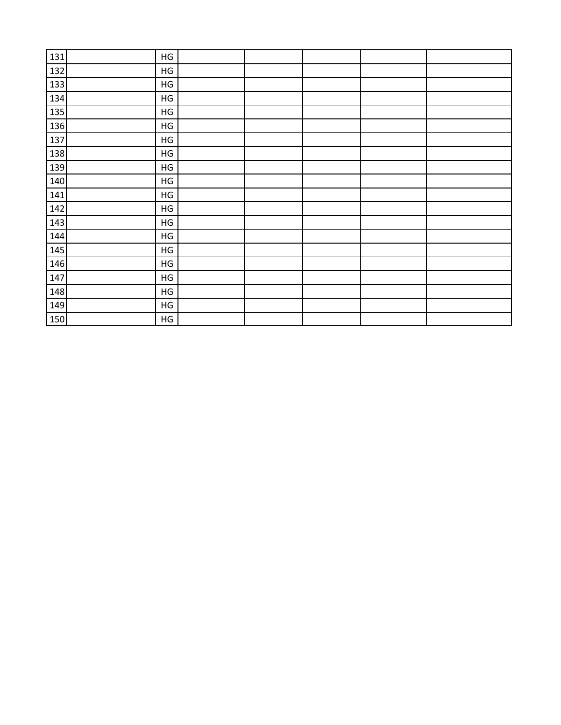| 131 | ${\sf HG}$    |  |  |  |
|-----|---------------|--|--|--|
| 132 | $\mathsf{HG}$ |  |  |  |
| 133 | $\mathsf{HG}$ |  |  |  |
| 134 | $\mathsf{HG}$ |  |  |  |
| 135 | $\mathsf{HG}$ |  |  |  |
| 136 | $\mathsf{HG}$ |  |  |  |
| 137 | $\mathsf{HG}$ |  |  |  |
| 138 | $\mathsf{HG}$ |  |  |  |
| 139 | $\mathsf{HG}$ |  |  |  |
| 140 | $\mathsf{HG}$ |  |  |  |
| 141 | $\mathsf{HG}$ |  |  |  |
| 142 | $\mathsf{HG}$ |  |  |  |
| 143 | $\mathsf{HG}$ |  |  |  |
| 144 | $\mathsf{HG}$ |  |  |  |
| 145 | ${\sf HG}$    |  |  |  |
| 146 | ${\sf HG}$    |  |  |  |
| 147 | $\mathsf{HG}$ |  |  |  |
| 148 | $\mathsf{HG}$ |  |  |  |
| 149 | $\mathsf{HG}$ |  |  |  |
| 150 | $\mathsf{HG}$ |  |  |  |